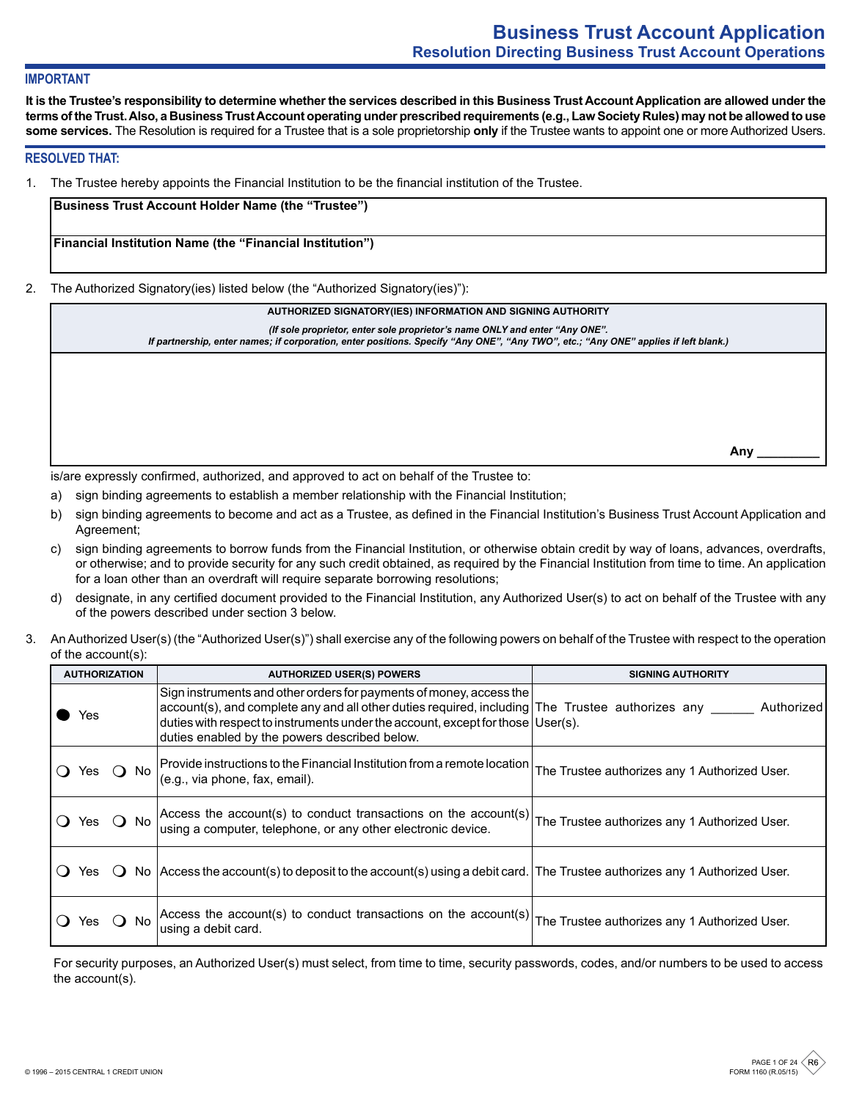## **IMPORTANT**

**It is the Trustee's responsibility to determine whether the services described in this Business Trust Account Application are allowed under the terms of the Trust. Also, a Business Trust Account operating under prescribed requirements (e.g., Law Society Rules) may not be allowed to use some services.** The Resolution is required for a Trustee that is a sole proprietorship **only** if the Trustee wants to appoint one or more Authorized Users.

#### **RESOLVED THAT:**

1. The Trustee hereby appoints the Financial Institution to be the financial institution of the Trustee.

**Business Trust Account Holder Name (the "Trustee")**

**Financial Institution Name (the "Financial Institution")**

2. The Authorized Signatory(ies) listed below (the "Authorized Signatory(ies)"):

**AUTHORIZED SIGNATORY(IES) INFORMATION AND SIGNING AUTHORITY**

*(If sole proprietor, enter sole proprietor's name ONLY and enter "Any ONE".* 

*If partnership, enter names; if corporation, enter positions. Specify "Any ONE", "Any TWO", etc.; "Any ONE" applies if left blank.)*

**Any \_\_\_\_\_\_\_\_\_**

is/are expressly confirmed, authorized, and approved to act on behalf of the Trustee to:

- a) sign binding agreements to establish a member relationship with the Financial Institution;
- b) sign binding agreements to become and act as a Trustee, as defined in the Financial Institution's Business Trust Account Application and Agreement;
- c) sign binding agreements to borrow funds from the Financial Institution, or otherwise obtain credit by way of loans, advances, overdrafts, or otherwise; and to provide security for any such credit obtained, as required by the Financial Institution from time to time. An application for a loan other than an overdraft will require separate borrowing resolutions;
- d) designate, in any certified document provided to the Financial Institution, any Authorized User(s) to act on behalf of the Trustee with any of the powers described under section 3 below.
- 3. An Authorized User(s) (the "Authorized User(s)") shall exercise any of the following powers on behalf of the Trustee with respect to the operation of the account(s):

| <b>AUTHORIZATION</b><br><b>AUTHORIZED USER(S) POWERS</b> |                                                                                                                                                                                                                                                                                                             | <b>SIGNING AUTHORITY</b>                      |  |  |
|----------------------------------------------------------|-------------------------------------------------------------------------------------------------------------------------------------------------------------------------------------------------------------------------------------------------------------------------------------------------------------|-----------------------------------------------|--|--|
| res                                                      | Sign instruments and other orders for payments of money, access the<br>account(s), and complete any and all other duties required, including The Trustee authorizes any<br>duties with respect to instruments under the account, except for those User(s).<br>duties enabled by the powers described below. | Authorized                                    |  |  |
| - No<br>res                                              | Provide instructions to the Financial Institution from a remote location<br>(e.g., via phone, fax, email).                                                                                                                                                                                                  | The Trustee authorizes any 1 Authorized User. |  |  |
| $\Omega$ No<br>Yes.                                      | Access the account(s) to conduct transactions on the account(s)<br>using a computer, telephone, or any other electronic device.                                                                                                                                                                             | The Trustee authorizes any 1 Authorized User. |  |  |
| Yes.                                                     | No   Access the account(s) to deposit to the account(s) using a debit card. The Trustee authorizes any 1 Authorized User.                                                                                                                                                                                   |                                               |  |  |
| No.                                                      | Access the account(s) to conduct transactions on the account(s)<br>using a debit card.                                                                                                                                                                                                                      | The Trustee authorizes any 1 Authorized User. |  |  |

For security purposes, an Authorized User(s) must select, from time to time, security passwords, codes, and/or numbers to be used to access the account(s).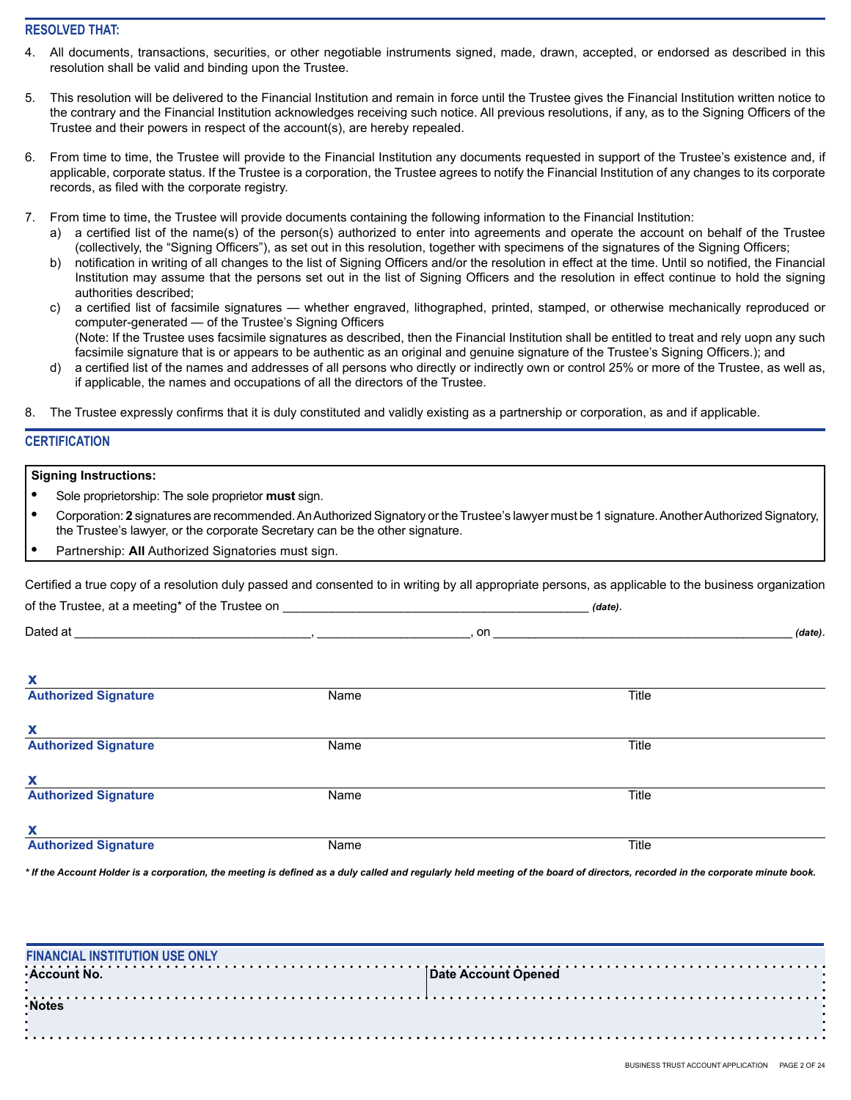## **RESOLVED THAT:**

- All documents, transactions, securities, or other negotiable instruments signed, made, drawn, accepted, or endorsed as described in this resolution shall be valid and binding upon the Trustee.
- 5. This resolution will be delivered to the Financial Institution and remain in force until the Trustee gives the Financial Institution written notice to the contrary and the Financial Institution acknowledges receiving such notice. All previous resolutions, if any, as to the Signing Officers of the Trustee and their powers in respect of the account(s), are hereby repealed.
- 6. From time to time, the Trustee will provide to the Financial Institution any documents requested in support of the Trustee's existence and, if applicable, corporate status. If the Trustee is a corporation, the Trustee agrees to notify the Financial Institution of any changes to its corporate records, as filed with the corporate registry.
- 7. From time to time, the Trustee will provide documents containing the following information to the Financial Institution:
	- a) a certified list of the name(s) of the person(s) authorized to enter into agreements and operate the account on behalf of the Trustee (collectively, the "Signing Officers"), as set out in this resolution, together with specimens of the signatures of the Signing Officers;
	- b) notification in writing of all changes to the list of Signing Officers and/or the resolution in effect at the time. Until so notified, the Financial Institution may assume that the persons set out in the list of Signing Officers and the resolution in effect continue to hold the signing authorities described;
	- c) a certified list of facsimile signatures whether engraved, lithographed, printed, stamped, or otherwise mechanically reproduced or computer-generated — of the Trustee's Signing Officers (Note: If the Trustee uses facsimile signatures as described, then the Financial Institution shall be entitled to treat and rely uopn any such facsimile signature that is or appears to be authentic as an original and genuine signature of the Trustee's Signing Officers.); and
	- d) a certified list of the names and addresses of all persons who directly or indirectly own or control 25% or more of the Trustee, as well as, if applicable, the names and occupations of all the directors of the Trustee.
- 8. The Trustee expressly confirms that it is duly constituted and validly existing as a partnership or corporation, as and if applicable.

## **CERTIFICATION**

#### **Signing Instructions:**

- **•** Sole proprietorship: The sole proprietor **must** sign.
- **•** Corporation: **2** signatures are recommended. An Authorized Signatory or the Trustee's lawyer must be 1 signature. Another Authorized Signatory, the Trustee's lawyer, or the corporate Secretary can be the other signature.
- **•** Partnership: **All** Authorized Signatories must sign.

Certified a true copy of a resolution duly passed and consented to in writing by all appropriate persons, as applicable to the business organization

of the Trustee, at a meeting\* of the Trustee on \_\_\_\_\_\_\_\_\_\_\_\_\_\_\_\_\_\_\_\_\_\_\_\_\_\_\_\_\_\_\_\_\_\_\_\_\_\_\_\_\_\_\_\_ *(date)*.

Dated at \_\_\_\_\_\_\_\_\_\_\_\_\_\_\_\_\_\_\_\_\_\_\_\_\_\_\_\_\_\_\_\_\_\_, \_\_\_\_\_\_\_\_\_\_\_\_\_\_\_\_\_\_\_\_\_\_, on \_\_\_\_\_\_\_\_\_\_\_\_\_\_\_\_\_\_\_\_\_\_\_\_\_\_\_\_\_\_\_\_\_\_\_\_\_\_\_\_\_\_\_ *(date)*.

| X                           |      |       |
|-----------------------------|------|-------|
| <b>Authorized Signature</b> | Name | Title |
| X                           |      |       |
| <b>Authorized Signature</b> | Name | Title |
| X                           |      |       |
| <b>Authorized Signature</b> | Name | Title |
| X                           |      |       |
| <b>Authorized Signature</b> | Name | Title |

*\* If the Account Holder is a corporation, the meeting is defined as a duly called and regularly held meeting of the board of directors, recorded in the corporate minute book.*

| <b>FINANCIAL INSTITUTION USE ONLY</b> |                     |
|---------------------------------------|---------------------|
| <b>∙Account No.</b>                   | Date Account Opened |
|                                       |                     |
| · Notes                               |                     |
|                                       |                     |
|                                       |                     |
|                                       |                     |
|                                       |                     |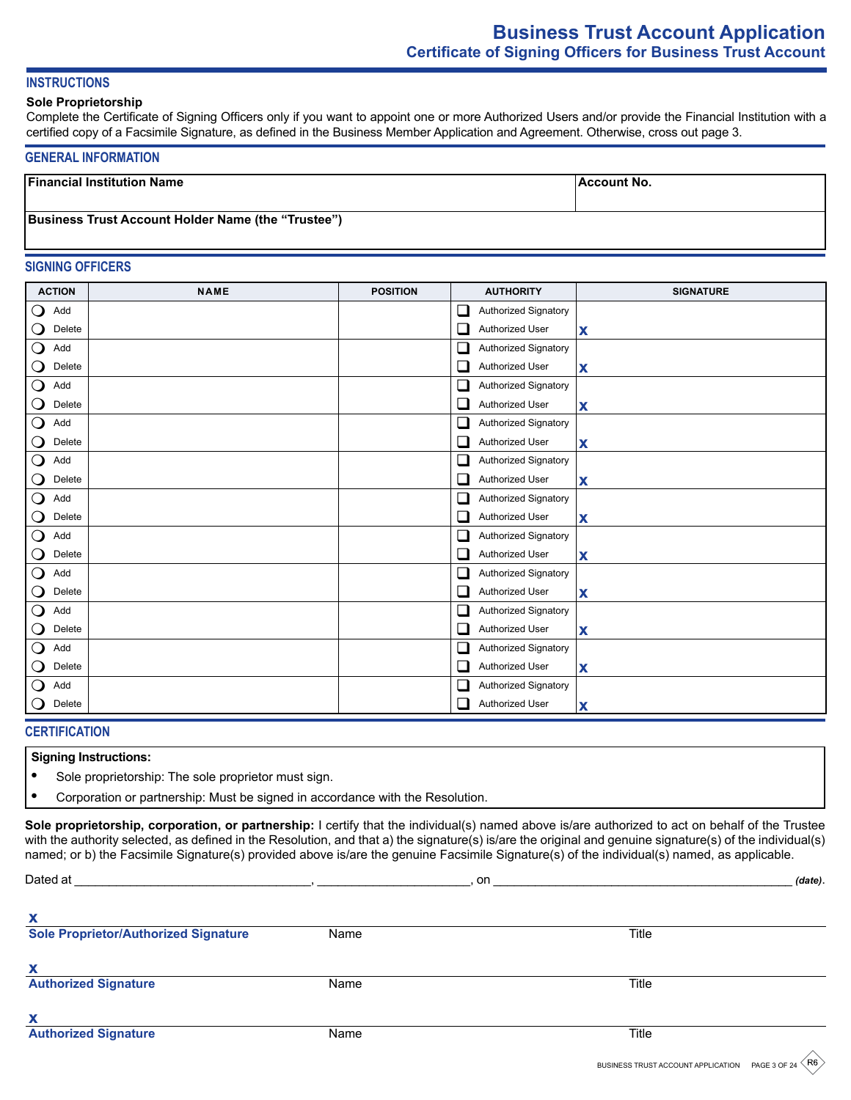# **Business Trust Account Application Certificate of Signing Officers for Business Trust Account**

## **INSTRUCTIONS**

#### **Sole Proprietorship**

Complete the Certificate of Signing Officers only if you want to appoint one or more Authorized Users and/or provide the Financial Institution with a certified copy of a Facsimile Signature, as defined in the Business Member Application and Agreement. Otherwise, cross out page 3.

#### **GENERAL INFORMATION**

| <b>Financial Institution Name</b>                         | ∣Account No. |
|-----------------------------------------------------------|--------------|
|                                                           |              |
| <b>Business Trust Account Holder Name (the "Trustee")</b> |              |
|                                                           |              |

#### **SIGNING OFFICERS**

| <b>ACTION</b>                   | <b>NAME</b> | <b>POSITION</b> | <b>AUTHORITY</b>                 | <b>SIGNATURE</b> |
|---------------------------------|-------------|-----------------|----------------------------------|------------------|
| $\mathsf{O}$<br>Add             |             |                 | Authorized Signatory<br>$\Box$   |                  |
| $\mathbf{\mathsf{O}}$<br>Delete |             |                 | ப<br><b>Authorized User</b>      | X                |
| $\bigcirc$<br>Add               |             |                 | Authorized Signatory<br>$\Box$   |                  |
| $\mathbf{\mathsf{O}}$<br>Delete |             |                 | u<br>Authorized User             | X                |
| $\mathbf O$<br>Add              |             |                 | Authorized Signatory<br>❏        |                  |
| $\mathbf{\mathsf{O}}$<br>Delete |             |                 | Authorized User<br>⊔             | X                |
| $\overline{O}$<br>Add           |             |                 | $\Box$<br>Authorized Signatory   |                  |
| $\mathbf{\mathsf{O}}$<br>Delete |             |                 | ⊔<br>Authorized User             | X                |
| $\overline{O}$<br>Add           |             |                 | ❏<br>Authorized Signatory        |                  |
| $\mathbf{\mathsf{O}}$<br>Delete |             |                 | ❏<br>Authorized User             | X                |
| $\mathbf O$<br>Add              |             |                 | Authorized Signatory<br>⊔        |                  |
| $\mathbf{\mathsf{O}}$<br>Delete |             |                 | ⊔<br>Authorized User             | $\mathbf x$      |
| $\bigcirc$<br>Add               |             |                 | Authorized Signatory<br>□        |                  |
| $\mathbf{\mathsf{O}}$<br>Delete |             |                 | $\Box$<br>Authorized User        | X                |
| $\mathsf{O}$<br>Add             |             |                 | $\Box$<br>Authorized Signatory   |                  |
| $\mathbf{\mathsf{O}}$<br>Delete |             |                 | Authorized User<br>⊔             | X                |
| $\mathsf{O}$<br>Add             |             |                 | □<br><b>Authorized Signatory</b> |                  |
| $\mathbf{\mathsf{O}}$<br>Delete |             |                 | ❏<br>Authorized User             | X                |
| $\bigcirc$<br>Add               |             |                 | ❏<br>Authorized Signatory        |                  |
| $\mathbf{\mathsf{O}}$<br>Delete |             |                 | □<br>Authorized User             | X                |
| $\mathbf O$<br>Add              |             |                 | Authorized Signatory<br>⊔        |                  |
| $\bigcirc$<br>Delete            |             |                 | Authorized User<br>П             | X                |

#### **CERTIFICATION**

#### **Signing Instructions:**

**•** Sole proprietorship: The sole proprietor must sign.

**•** Corporation or partnership: Must be signed in accordance with the Resolution.

**Sole proprietorship, corporation, or partnership:** I certify that the individual(s) named above is/are authorized to act on behalf of the Trustee with the authority selected, as defined in the Resolution, and that a) the signature(s) is/are the original and genuine signature(s) of the individual(s) named; or b) the Facsimile Signature(s) provided above is/are the genuine Facsimile Signature(s) of the individual(s) named, as applicable.

| Dated at                                    |      | on |       | (date). |
|---------------------------------------------|------|----|-------|---------|
| X                                           |      |    |       |         |
| <b>Sole Proprietor/Authorized Signature</b> | Name |    | Title |         |
| х                                           |      |    |       |         |
| <b>Authorized Signature</b>                 | Name |    | Title |         |
| X                                           |      |    |       |         |
| <b>Authorized Signature</b>                 | Name |    | Title |         |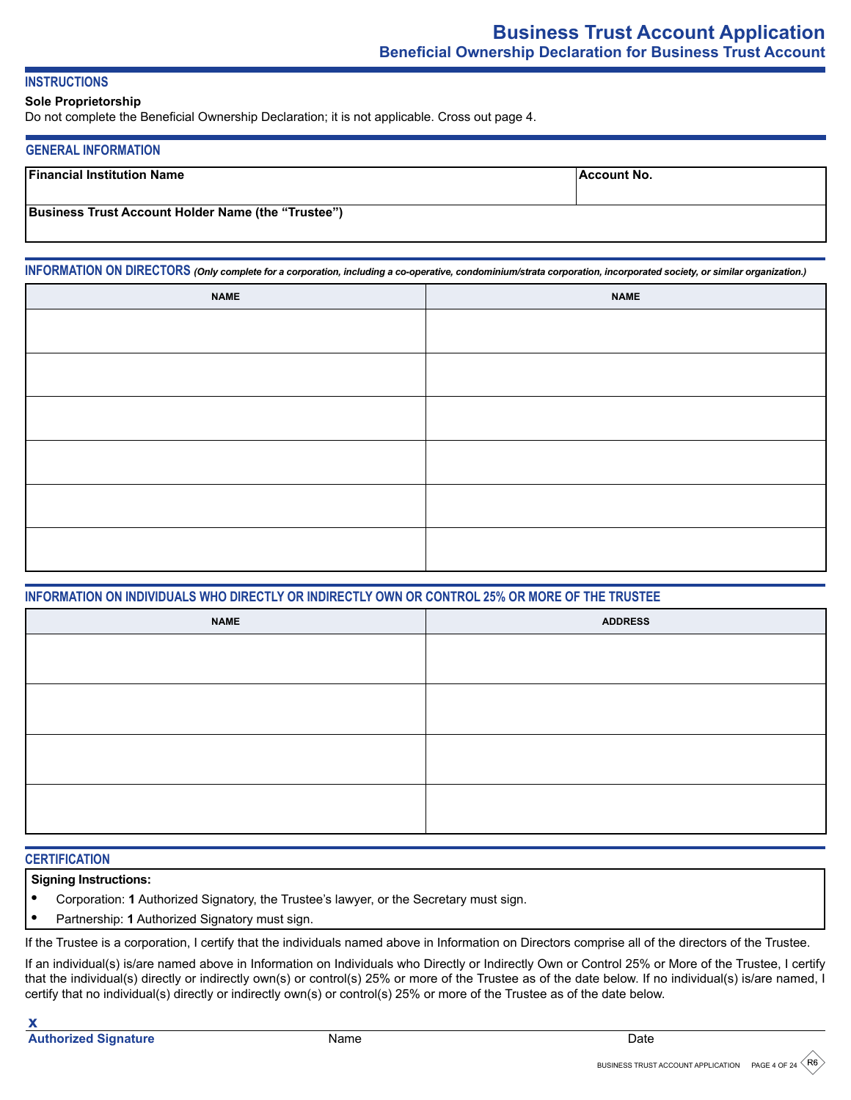## **INSTRUCTIONS**

#### **Sole Proprietorship**

Do not complete the Beneficial Ownership Declaration; it is not applicable. Cross out page 4.

#### **GENERAL INFORMATION**

| <b>Financial Institution Name</b>                         | ∣Account No. |
|-----------------------------------------------------------|--------------|
| <b>Business Trust Account Holder Name (the "Trustee")</b> |              |

**INFORMATION ON DIRECTORS** *(Only complete for a corporation, including a co-operative, condominium/strata corporation, incorporated society, or similar organization.)*

| <b>NAME</b> | <b>NAME</b> |
|-------------|-------------|
|             |             |
|             |             |
|             |             |
|             |             |
|             |             |
|             |             |
|             |             |
|             |             |
|             |             |
|             |             |
|             |             |
|             |             |

## **INFORMATION ON INDIVIDUALS WHO DIRECTLY OR INDIRECTLY OWN OR CONTROL 25% OR MORE OF THE TRUSTEE**

| <b>NAME</b> | <b>ADDRESS</b> |
|-------------|----------------|
|             |                |
|             |                |
|             |                |
|             |                |
|             |                |
|             |                |
|             |                |
|             |                |

#### **CERTIFICATION**

## **Signing Instructions:**

- **•** Corporation: **1** Authorized Signatory, the Trustee's lawyer, or the Secretary must sign.
- **•** Partnership: **1** Authorized Signatory must sign.

If the Trustee is a corporation, I certify that the individuals named above in Information on Directors comprise all of the directors of the Trustee.

If an individual(s) is/are named above in Information on Individuals who Directly or Indirectly Own or Control 25% or More of the Trustee, I certify that the individual(s) directly or indirectly own(s) or control(s) 25% or more of the Trustee as of the date below. If no individual(s) is/are named, I certify that no individual(s) directly or indirectly own(s) or control(s) 25% or more of the Trustee as of the date below.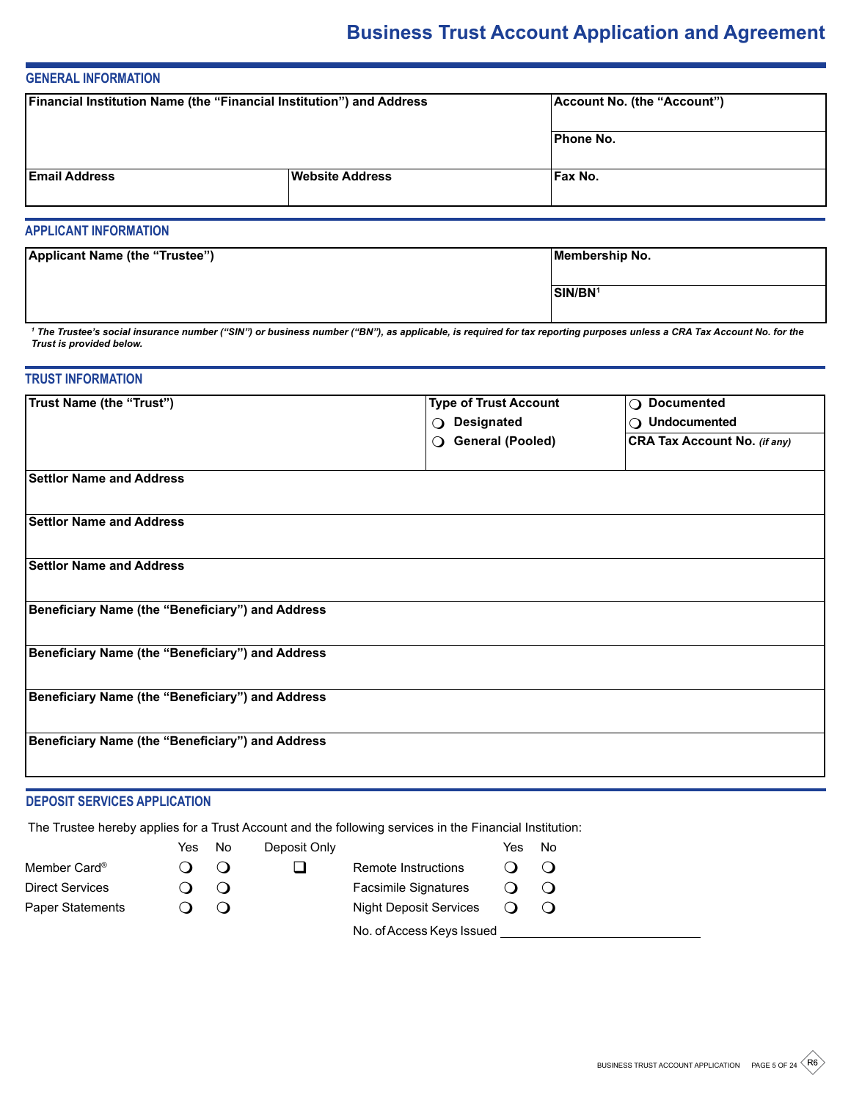# **Business Trust Account Application and Agreement**

# **GENERAL INFORMATION**

| Financial Institution Name (the "Financial Institution") and Address |                        | Account No. (the "Account") |
|----------------------------------------------------------------------|------------------------|-----------------------------|
|                                                                      |                        | <b>Phone No.</b>            |
| <b>Email Address</b>                                                 | <b>Website Address</b> | Fax No.                     |

## **APPLICANT INFORMATION**

| Applicant Name (the "Trustee") | Membership No.      |
|--------------------------------|---------------------|
|                                |                     |
|                                | SIN/BN <sup>1</sup> |
|                                |                     |

<sup>1</sup> The Trustee's social insurance number ("SIN") or business number ("BN"), as applicable, is required for tax reporting purposes unless a CRA Tax Account No. for the *Trust is provided below.*

## **TRUST INFORMATION**

| <b>Trust Name (the "Trust")</b>                  | <b>Type of Trust Account</b>        | ○ Documented                        |
|--------------------------------------------------|-------------------------------------|-------------------------------------|
|                                                  | O Designated                        | $\bigcirc$ Undocumented             |
|                                                  | <b>General (Pooled)</b><br>$\Omega$ | <b>CRA Tax Account No. (if any)</b> |
|                                                  |                                     |                                     |
| <b>Settlor Name and Address</b>                  |                                     |                                     |
|                                                  |                                     |                                     |
| <b>Settlor Name and Address</b>                  |                                     |                                     |
|                                                  |                                     |                                     |
| <b>Settlor Name and Address</b>                  |                                     |                                     |
|                                                  |                                     |                                     |
| Beneficiary Name (the "Beneficiary") and Address |                                     |                                     |
|                                                  |                                     |                                     |
| Beneficiary Name (the "Beneficiary") and Address |                                     |                                     |
|                                                  |                                     |                                     |
| Beneficiary Name (the "Beneficiary") and Address |                                     |                                     |
|                                                  |                                     |                                     |
| Beneficiary Name (the "Beneficiary") and Address |                                     |                                     |
|                                                  |                                     |                                     |
|                                                  |                                     |                                     |

# **DEPOSIT SERVICES APPLICATION**

The Trustee hereby applies for a Trust Account and the following services in the Financial Institution:

|                          | Yes | No. | Deposit Only |                               | Yes | No |
|--------------------------|-----|-----|--------------|-------------------------------|-----|----|
| Member Card <sup>®</sup> |     |     |              | Remote Instructions           |     |    |
| <b>Direct Services</b>   |     |     |              | <b>Facsimile Signatures</b>   |     |    |
| Paper Statements         |     |     |              | <b>Night Deposit Services</b> |     |    |
|                          |     |     |              | No. of Access Keys Issued     |     |    |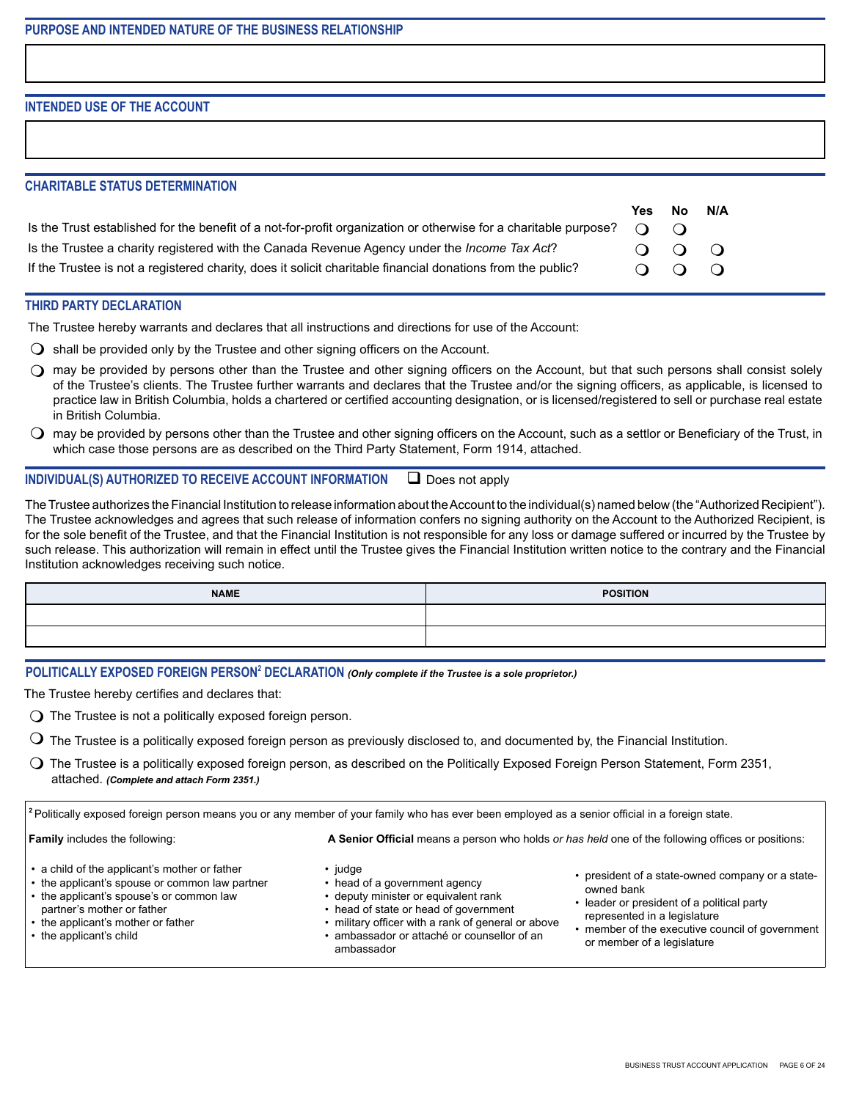**INTENDED USE OF THE ACCOUNT**

## **CHARITABLE STATUS DETERMINATION**

|                                                                                                                                        | Yes.                       | No          | N/A |
|----------------------------------------------------------------------------------------------------------------------------------------|----------------------------|-------------|-----|
| Is the Trust established for the benefit of a not-for-profit organization or otherwise for a charitable purpose? $\bigcirc$ $\bigcirc$ |                            |             |     |
| Is the Trustee a charity registered with the Canada Revenue Agency under the <i>Income Tax Act</i> ?                                   |                            | $O$ $O$ $O$ |     |
| If the Trustee is not a registered charity, does it solicit charitable financial donations from the public?                            | $\Omega$ $\Omega$ $\Omega$ |             |     |

# **THIRD PARTY DECLARATION**

The Trustee hereby warrants and declares that all instructions and directions for use of the Account:

- $\Omega$  shall be provided only by the Trustee and other signing officers on the Account.
- $\bigcirc$  may be provided by persons other than the Trustee and other signing officers on the Account, but that such persons shall consist solely of the Trustee's clients. The Trustee further warrants and declares that the Trustee and/or the signing officers, as applicable, is licensed to practice law in British Columbia, holds a chartered or certified accounting designation, or is licensed/registered to sell or purchase real estate in British Columbia.
- $\bigcirc$  may be provided by persons other than the Trustee and other signing officers on the Account, such as a settlor or Beneficiary of the Trust, in which case those persons are as described on the Third Party Statement, Form 1914, attached.

## **INDIVIDUAL(S) AUTHORIZED TO RECEIVE ACCOUNT INFORMATION**  $\Box$  Does not apply

The Trustee authorizes the Financial Institution to release information about the Account to the individual(s) named below (the "Authorized Recipient"). The Trustee acknowledges and agrees that such release of information confers no signing authority on the Account to the Authorized Recipient, is for the sole benefit of the Trustee, and that the Financial Institution is not responsible for any loss or damage suffered or incurred by the Trustee by such release. This authorization will remain in effect until the Trustee gives the Financial Institution written notice to the contrary and the Financial Institution acknowledges receiving such notice.

| <b>NAME</b> | <b>POSITION</b> |
|-------------|-----------------|
|             |                 |
|             |                 |

#### **POLITICALLY EXPOSED FOREIGN PERSON2 DECLARATION** *(Only complete if the Trustee is a sole proprietor.)*

The Trustee hereby certifies and declares that:

- $\bigcirc$  The Trustee is not a politically exposed foreign person.
- $\mathsf O$  The Trustee is a politically exposed foreign person as previously disclosed to, and documented by, the Financial Institution.
- $\bigcirc$  The Trustee is a politically exposed foreign person, as described on the Politically Exposed Foreign Person Statement, Form 2351, attached. *(Complete and attach Form 2351.)*

**<sup>2</sup>**Politically exposed foreign person means you or any member of your family who has ever been employed as a senior official in a foreign state.

**Family** includes the following: **A Senior Official** means a person who holds *or has held* one of the following offices or positions:

- a child of the applicant's mother or father
- the applicant's spouse or common law partner
- the applicant's spouse's or common law
- partner's mother or father
- the applicant's mother or father
- the applicant's child
- judge
- head of a government agency
- deputy minister or equivalent rank
- head of state or head of government
- military officer with a rank of general or above
- ambassador or attaché or counsellor of an ambassador
- president of a state-owned company or a stateowned bank
- leader or president of a political party represented in a legislature
- member of the executive council of government or member of a legislature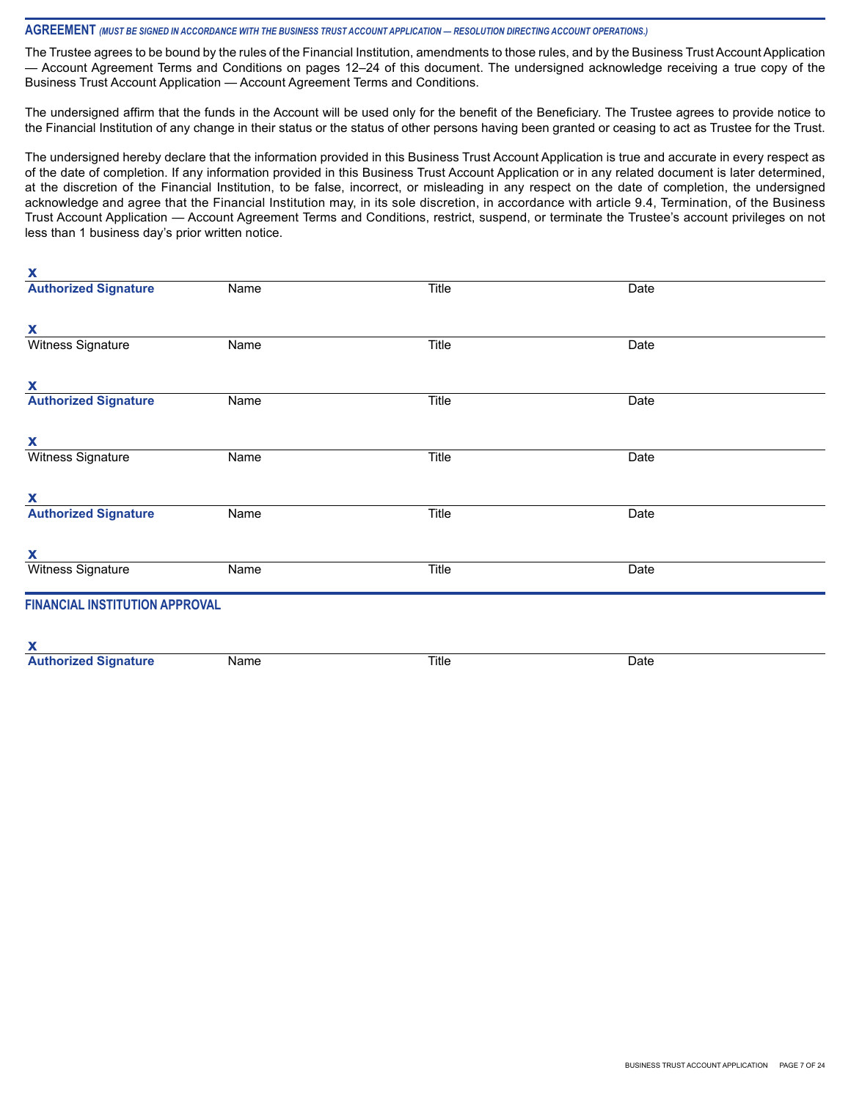#### **AGREEMENT** *(MUST BE SIGNED IN ACCORDANCE WITH THE BUSINESS TRUST ACCOUNT APPLICATION — RESOLUTION DIRECTING ACCOUNT OPERATIONS.)*

**x**

The Trustee agrees to be bound by the rules of the Financial Institution, amendments to those rules, and by the Business Trust Account Application — Account Agreement Terms and Conditions on pages 12–24 of this document. The undersigned acknowledge receiving a true copy of the Business Trust Account Application — Account Agreement Terms and Conditions.

The undersigned affirm that the funds in the Account will be used only for the benefit of the Beneficiary. The Trustee agrees to provide notice to the Financial Institution of any change in their status or the status of other persons having been granted or ceasing to act as Trustee for the Trust.

The undersigned hereby declare that the information provided in this Business Trust Account Application is true and accurate in every respect as of the date of completion. If any information provided in this Business Trust Account Application or in any related document is later determined, at the discretion of the Financial Institution, to be false, incorrect, or misleading in any respect on the date of completion, the undersigned acknowledge and agree that the Financial Institution may, in its sole discretion, in accordance with article 9.4, Termination, of the Business Trust Account Application — Account Agreement Terms and Conditions, restrict, suspend, or terminate the Trustee's account privileges on not less than 1 business day's prior written notice.

| $\boldsymbol{\mathsf{A}}$             |      |       |      |  |
|---------------------------------------|------|-------|------|--|
| <b>Authorized Signature</b>           | Name | Title | Date |  |
| X                                     |      |       |      |  |
| Witness Signature                     | Name | Title | Date |  |
| X                                     |      |       |      |  |
| <b>Authorized Signature</b>           | Name | Title | Date |  |
| X                                     |      |       |      |  |
| <b>Witness Signature</b>              | Name | Title | Date |  |
| X                                     |      |       |      |  |
| <b>Authorized Signature</b>           | Name | Title | Date |  |
| X                                     |      |       |      |  |
| Witness Signature                     | Name | Title | Date |  |
| <b>FINANCIAL INSTITUTION APPROVAL</b> |      |       |      |  |
| X                                     |      |       |      |  |
| <b>Authorized Signature</b>           | Name | Title | Date |  |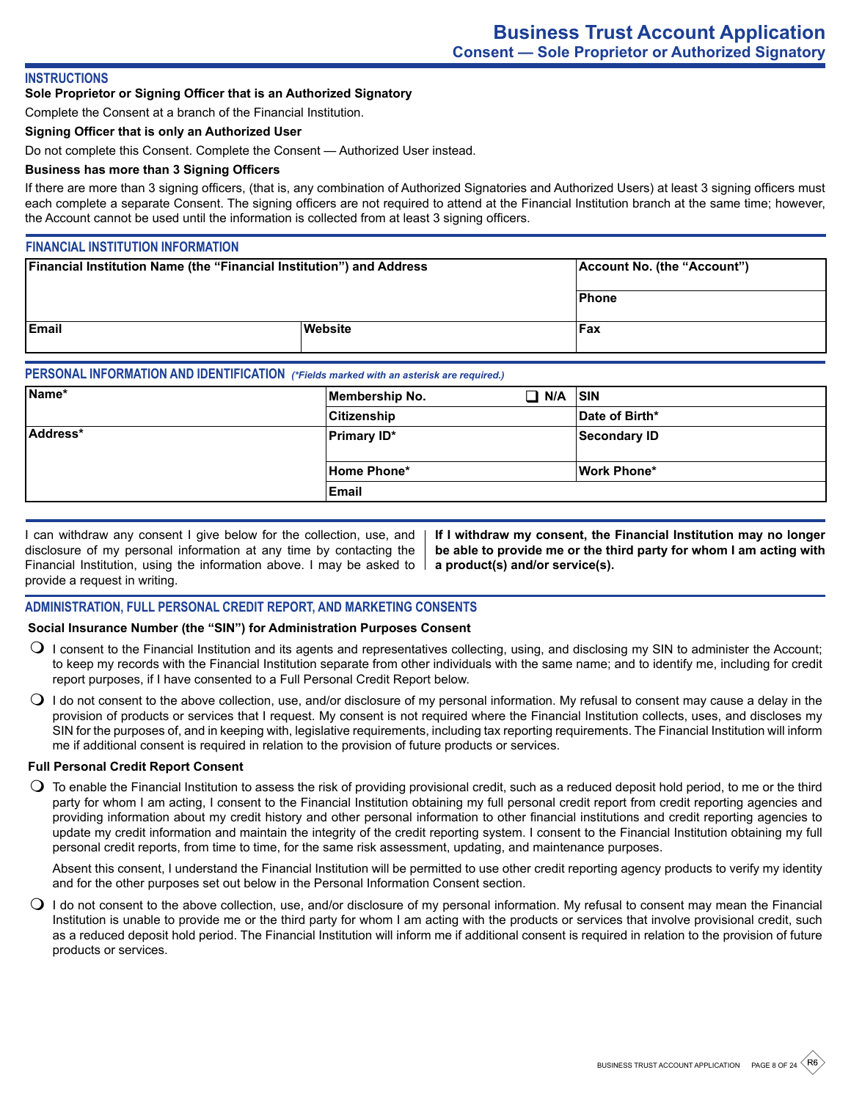#### **INSTRUCTIONS**

#### **Sole Proprietor or Signing Officer that is an Authorized Signatory**

Complete the Consent at a branch of the Financial Institution.

## **Signing Officer that is only an Authorized User**

Do not complete this Consent. Complete the Consent — Authorized User instead.

## **Business has more than 3 Signing Officers**

If there are more than 3 signing officers, (that is, any combination of Authorized Signatories and Authorized Users) at least 3 signing officers must each complete a separate Consent. The signing officers are not required to attend at the Financial Institution branch at the same time; however, the Account cannot be used until the information is collected from at least 3 signing officers.

#### **FINANCIAL INSTITUTION INFORMATION**

| <b>Financial Institution Name (the "Financial Institution") and Address</b> |         | Account No. (the "Account") |
|-----------------------------------------------------------------------------|---------|-----------------------------|
|                                                                             |         | Phone                       |
| <b>IEmail</b>                                                               | Website | Fax                         |

## **PERSONAL INFORMATION AND IDENTIFICATION** *(\*Fields marked with an asterisk are required.)*

| Name*    | Membership No.     | N/A<br>. . | <b>SIN</b>          |
|----------|--------------------|------------|---------------------|
|          | <b>Citizenship</b> |            | Date of Birth*      |
| Address* | <b>Primary ID*</b> |            | <b>Secondary ID</b> |
|          | <b>Home Phone*</b> |            | Work Phone*         |
|          | <b>Email</b>       |            |                     |

I can withdraw any consent I give below for the collection, use, and disclosure of my personal information at any time by contacting the Financial Institution, using the information above. I may be asked to provide a request in writing.

**If I withdraw my consent, the Financial Institution may no longer be able to provide me or the third party for whom I am acting with a product(s) and/or service(s).**

#### **ADMINISTRATION, FULL PERSONAL CREDIT REPORT, AND MARKETING CONSENTS**

#### **Social Insurance Number (the "SIN") for Administration Purposes Consent**

- $\bigcirc$  I consent to the Financial Institution and its agents and representatives collecting, using, and disclosing my SIN to administer the Account; to keep my records with the Financial Institution separate from other individuals with the same name; and to identify me, including for credit report purposes, if I have consented to a Full Personal Credit Report below.
- $\bigcirc$  I do not consent to the above collection, use, and/or disclosure of my personal information. My refusal to consent may cause a delay in the provision of products or services that I request. My consent is not required where the Financial Institution collects, uses, and discloses my SIN for the purposes of, and in keeping with, legislative requirements, including tax reporting requirements. The Financial Institution will inform me if additional consent is required in relation to the provision of future products or services.

#### **Full Personal Credit Report Consent**

 $\bigcirc$  To enable the Financial Institution to assess the risk of providing provisional credit, such as a reduced deposit hold period, to me or the third party for whom I am acting, I consent to the Financial Institution obtaining my full personal credit report from credit reporting agencies and providing information about my credit history and other personal information to other financial institutions and credit reporting agencies to update my credit information and maintain the integrity of the credit reporting system. I consent to the Financial Institution obtaining my full personal credit reports, from time to time, for the same risk assessment, updating, and maintenance purposes.

Absent this consent, I understand the Financial Institution will be permitted to use other credit reporting agency products to verify my identity and for the other purposes set out below in the Personal Information Consent section.

 $\bigcirc$  I do not consent to the above collection, use, and/or disclosure of my personal information. My refusal to consent may mean the Financial Institution is unable to provide me or the third party for whom I am acting with the products or services that involve provisional credit, such as a reduced deposit hold period. The Financial Institution will inform me if additional consent is required in relation to the provision of future products or services.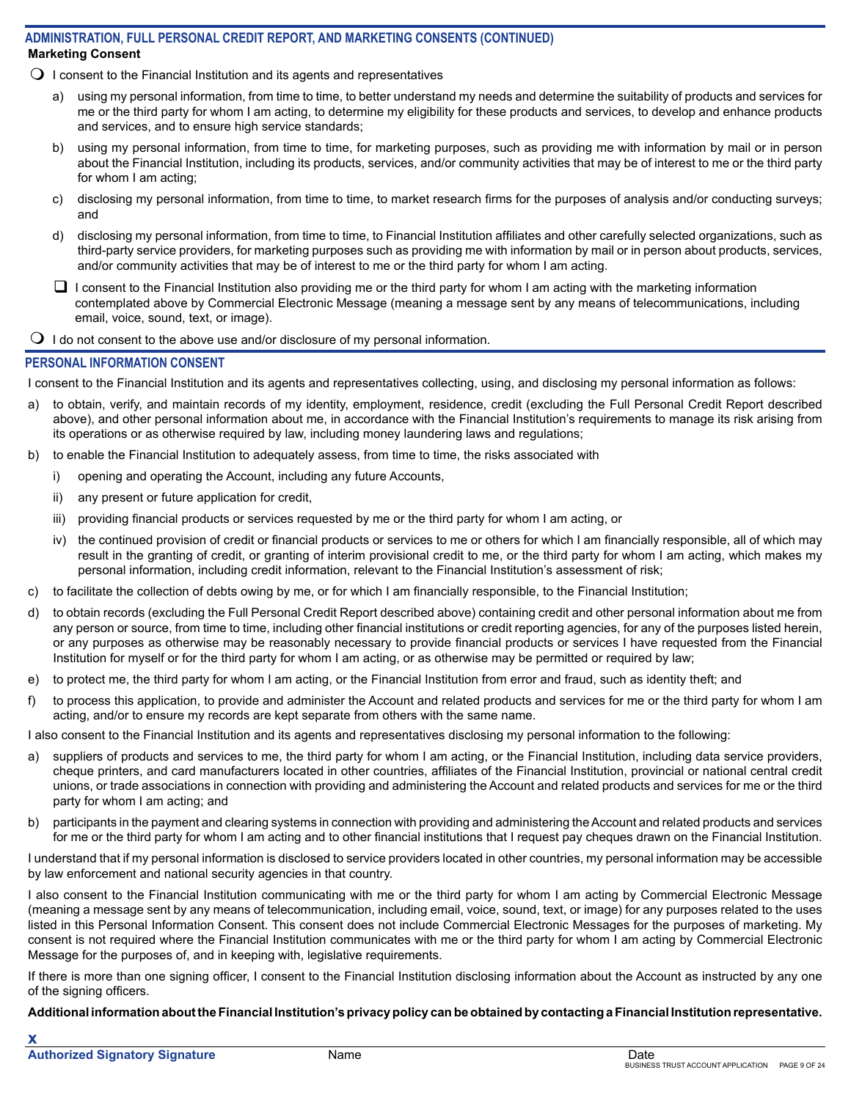## **Marketing Consent ADMINISTRATION, FULL PERSONAL CREDIT REPORT, AND MARKETING CONSENTS (CONTINUED)**

- $\Omega$  I consent to the Financial Institution and its agents and representatives
	- a) using my personal information, from time to time, to better understand my needs and determine the suitability of products and services for me or the third party for whom I am acting, to determine my eligibility for these products and services, to develop and enhance products and services, and to ensure high service standards;
	- b) using my personal information, from time to time, for marketing purposes, such as providing me with information by mail or in person about the Financial Institution, including its products, services, and/or community activities that may be of interest to me or the third party for whom I am acting;
	- c) disclosing my personal information, from time to time, to market research firms for the purposes of analysis and/or conducting surveys; and
	- d) disclosing my personal information, from time to time, to Financial Institution affiliates and other carefully selected organizations, such as third-party service providers, for marketing purposes such as providing me with information by mail or in person about products, services, and/or community activities that may be of interest to me or the third party for whom I am acting.
	- $\Box$  I consent to the Financial Institution also providing me or the third party for whom I am acting with the marketing information contemplated above by Commercial Electronic Message (meaning a message sent by any means of telecommunications, including email, voice, sound, text, or image).
- $\bigcirc$  I do not consent to the above use and/or disclosure of my personal information.

## **PERSONAL INFORMATION CONSENT**

I consent to the Financial Institution and its agents and representatives collecting, using, and disclosing my personal information as follows:

- a) to obtain, verify, and maintain records of my identity, employment, residence, credit (excluding the Full Personal Credit Report described above), and other personal information about me, in accordance with the Financial Institution's requirements to manage its risk arising from its operations or as otherwise required by law, including money laundering laws and regulations;
- b) to enable the Financial Institution to adequately assess, from time to time, the risks associated with
	- i) opening and operating the Account, including any future Accounts,
	- ii) any present or future application for credit,
	- iii) providing financial products or services requested by me or the third party for whom I am acting, or
	- iv) the continued provision of credit or financial products or services to me or others for which I am financially responsible, all of which may result in the granting of credit, or granting of interim provisional credit to me, or the third party for whom I am acting, which makes my personal information, including credit information, relevant to the Financial Institution's assessment of risk;
- c) to facilitate the collection of debts owing by me, or for which I am financially responsible, to the Financial Institution;
- d) to obtain records (excluding the Full Personal Credit Report described above) containing credit and other personal information about me from any person or source, from time to time, including other financial institutions or credit reporting agencies, for any of the purposes listed herein, or any purposes as otherwise may be reasonably necessary to provide financial products or services I have requested from the Financial Institution for myself or for the third party for whom I am acting, or as otherwise may be permitted or required by law;
- e) to protect me, the third party for whom I am acting, or the Financial Institution from error and fraud, such as identity theft; and
- f) to process this application, to provide and administer the Account and related products and services for me or the third party for whom I am acting, and/or to ensure my records are kept separate from others with the same name.

I also consent to the Financial Institution and its agents and representatives disclosing my personal information to the following:

- a) suppliers of products and services to me, the third party for whom I am acting, or the Financial Institution, including data service providers, cheque printers, and card manufacturers located in other countries, affiliates of the Financial Institution, provincial or national central credit unions, or trade associations in connection with providing and administering the Account and related products and services for me or the third party for whom I am acting; and
- b) participants in the payment and clearing systems in connection with providing and administering the Account and related products and services for me or the third party for whom I am acting and to other financial institutions that I request pay cheques drawn on the Financial Institution.

I understand that if my personal information is disclosed to service providers located in other countries, my personal information may be accessible by law enforcement and national security agencies in that country.

I also consent to the Financial Institution communicating with me or the third party for whom I am acting by Commercial Electronic Message (meaning a message sent by any means of telecommunication, including email, voice, sound, text, or image) for any purposes related to the uses listed in this Personal Information Consent. This consent does not include Commercial Electronic Messages for the purposes of marketing. My consent is not required where the Financial Institution communicates with me or the third party for whom I am acting by Commercial Electronic Message for the purposes of, and in keeping with, legislative requirements.

If there is more than one signing officer, I consent to the Financial Institution disclosing information about the Account as instructed by any one of the signing officers.

**Additional information about the Financial Institution's privacy policy can be obtained by contacting a Financial Institution representative.**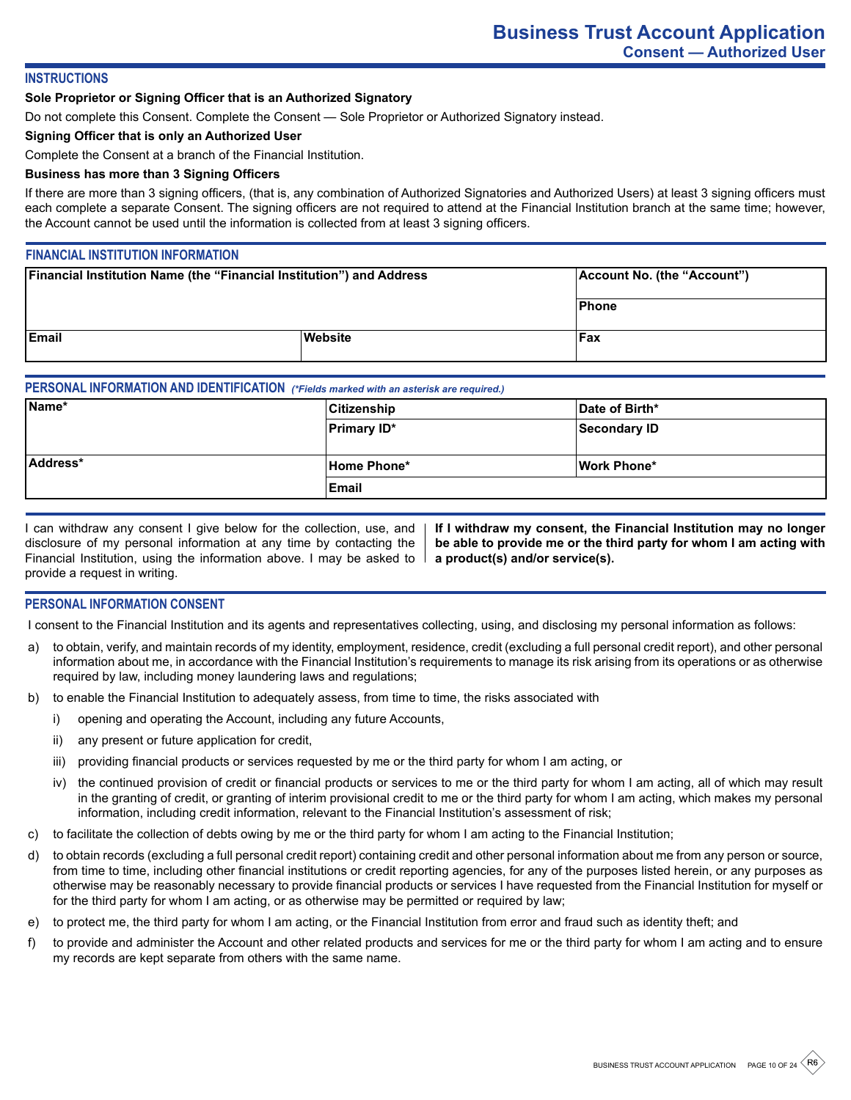# **INSTRUCTIONS**

#### **Sole Proprietor or Signing Officer that is an Authorized Signatory**

Do not complete this Consent. Complete the Consent — Sole Proprietor or Authorized Signatory instead.

#### **Signing Officer that is only an Authorized User**

Complete the Consent at a branch of the Financial Institution.

### **Business has more than 3 Signing Officers**

If there are more than 3 signing officers, (that is, any combination of Authorized Signatories and Authorized Users) at least 3 signing officers must each complete a separate Consent. The signing officers are not required to attend at the Financial Institution branch at the same time; however, the Account cannot be used until the information is collected from at least 3 signing officers.

### **FINANCIAL INSTITUTION INFORMATION**

| Financial Institution Name (the "Financial Institution") and Address |         | Account No. (the "Account") |  |
|----------------------------------------------------------------------|---------|-----------------------------|--|
|                                                                      |         | Phone                       |  |
| <b>IEmail</b>                                                        | Website | Fax                         |  |

## **PERSONAL INFORMATION AND IDENTIFICATION** *(\*Fields marked with an asterisk are required.)*

| Name*    | <b>Citizenship</b> | Date of Birth* |
|----------|--------------------|----------------|
|          | <b>Primary ID*</b> | Secondary ID   |
|          |                    |                |
| Address* | Home Phone*        | Work Phone*    |
|          | <b>Email</b>       |                |

| I can withdraw any consent I give below for the collection, use, and  |
|-----------------------------------------------------------------------|
| disclosure of my personal information at any time by contacting the   |
| Financial Institution, using the information above. I may be asked to |
| provide a request in writing.                                         |

**If I withdraw my consent, the Financial Institution may no longer be able to provide me or the third party for whom I am acting with a product(s) and/or service(s).**

#### **PERSONAL INFORMATION CONSENT**

I consent to the Financial Institution and its agents and representatives collecting, using, and disclosing my personal information as follows:

- a) to obtain, verify, and maintain records of my identity, employment, residence, credit (excluding a full personal credit report), and other personal information about me, in accordance with the Financial Institution's requirements to manage its risk arising from its operations or as otherwise required by law, including money laundering laws and regulations;
- b) to enable the Financial Institution to adequately assess, from time to time, the risks associated with
	- i) opening and operating the Account, including any future Accounts,
	- ii) any present or future application for credit,
	- iii) providing financial products or services requested by me or the third party for whom I am acting, or
	- iv) the continued provision of credit or financial products or services to me or the third party for whom I am acting, all of which may result in the granting of credit, or granting of interim provisional credit to me or the third party for whom I am acting, which makes my personal information, including credit information, relevant to the Financial Institution's assessment of risk;
- c) to facilitate the collection of debts owing by me or the third party for whom I am acting to the Financial Institution;
- d) to obtain records (excluding a full personal credit report) containing credit and other personal information about me from any person or source, from time to time, including other financial institutions or credit reporting agencies, for any of the purposes listed herein, or any purposes as otherwise may be reasonably necessary to provide financial products or services I have requested from the Financial Institution for myself or for the third party for whom I am acting, or as otherwise may be permitted or required by law;
- e) to protect me, the third party for whom I am acting, or the Financial Institution from error and fraud such as identity theft; and
- f) to provide and administer the Account and other related products and services for me or the third party for whom I am acting and to ensure my records are kept separate from others with the same name.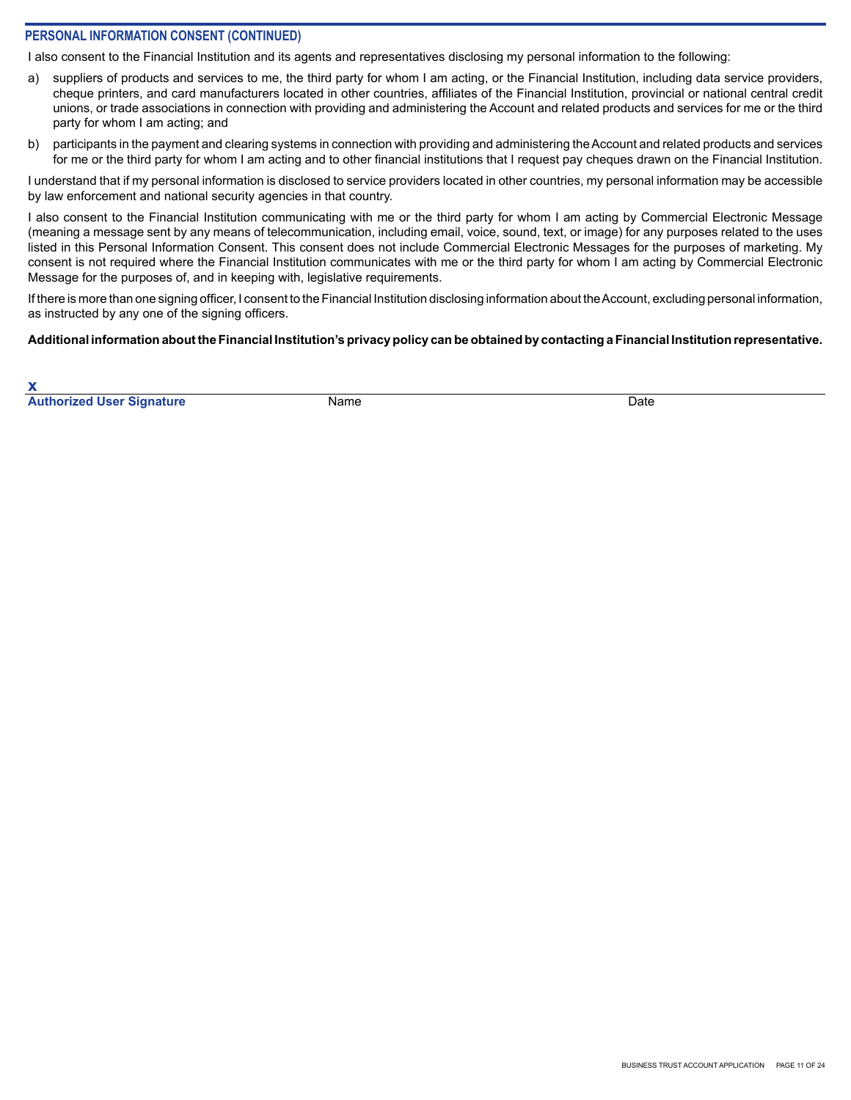## **PERSONAL INFORMATION CONSENT (CONTINUED)**

I also consent to the Financial Institution and its agents and representatives disclosing my personal information to the following:

- a) suppliers of products and services to me, the third party for whom I am acting, or the Financial Institution, including data service providers, cheque printers, and card manufacturers located in other countries, affiliates of the Financial Institution, provincial or national central credit unions, or trade associations in connection with providing and administering the Account and related products and services for me or the third party for whom I am acting; and
- b) participants in the payment and clearing systems in connection with providing and administering the Account and related products and services for me or the third party for whom I am acting and to other financial institutions that I request pay cheques drawn on the Financial Institution.

I understand that if my personal information is disclosed to service providers located in other countries, my personal information may be accessible by law enforcement and national security agencies in that country.

I also consent to the Financial Institution communicating with me or the third party for whom I am acting by Commercial Electronic Message (meaning a message sent by any means of telecommunication, including email, voice, sound, text, or image) for any purposes related to the uses listed in this Personal Information Consent. This consent does not include Commercial Electronic Messages for the purposes of marketing. My consent is not required where the Financial Institution communicates with me or the third party for whom I am acting by Commercial Electronic Message for the purposes of, and in keeping with, legislative requirements.

If there is more than one signing officer, I consent to the Financial Institution disclosing information about the Account, excluding personal information, as instructed by any one of the signing officers.

#### **Additional information about the Financial Institution's privacy policy can be obtained by contacting a Financial Institution representative.**

**x Authorized User Signature** Name Name **Name Date** Date Date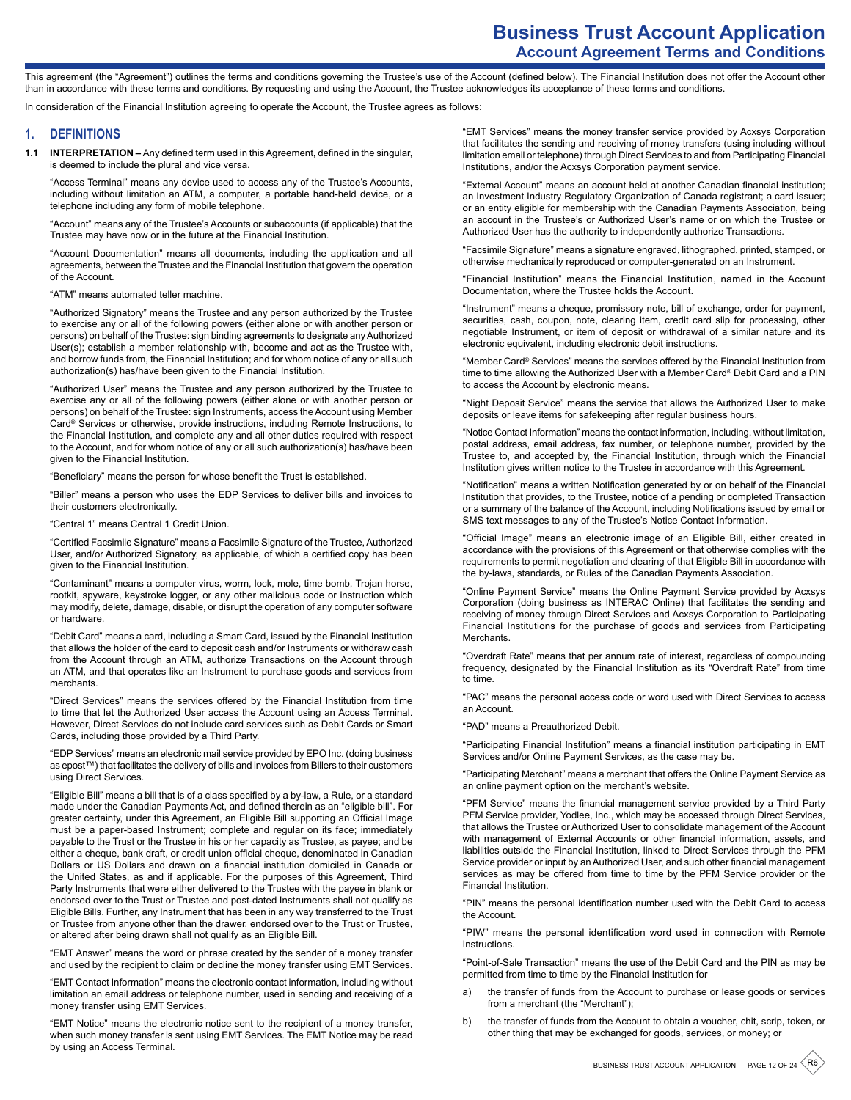# **Business Trust Account Application Account Agreement Terms and Conditions**

This agreement (the "Agreement") outlines the terms and conditions governing the Trustee's use of the Account (defined below). The Financial Institution does not offer the Account other than in accordance with these terms and conditions. By requesting and using the Account, the Trustee acknowledges its acceptance of these terms and conditions.

In consideration of the Financial Institution agreeing to operate the Account, the Trustee agrees as follows:

#### **1. DEFINITIONS**

**1.1 INTERPRETATION –** Any defined term used in this Agreement, defined in the singular, is deemed to include the plural and vice versa.

"Access Terminal" means any device used to access any of the Trustee's Accounts, including without limitation an ATM, a computer, a portable hand-held device, or a telephone including any form of mobile telephone.

"Account" means any of the Trustee's Accounts or subaccounts (if applicable) that the Trustee may have now or in the future at the Financial Institution.

"Account Documentation" means all documents, including the application and all agreements, between the Trustee and the Financial Institution that govern the operation of the Account.

#### "ATM" means automated teller machine.

"Authorized Signatory" means the Trustee and any person authorized by the Trustee to exercise any or all of the following powers (either alone or with another person or persons) on behalf of the Trustee: sign binding agreements to designate any Authorized User(s); establish a member relationship with, become and act as the Trustee with, and borrow funds from, the Financial Institution; and for whom notice of any or all such authorization(s) has/have been given to the Financial Institution.

"Authorized User" means the Trustee and any person authorized by the Trustee to exercise any or all of the following powers (either alone or with another person or persons) on behalf of the Trustee: sign Instruments, access the Account using Member Card® Services or otherwise, provide instructions, including Remote Instructions, to the Financial Institution, and complete any and all other duties required with respect to the Account, and for whom notice of any or all such authorization(s) has/have been given to the Financial Institution.

"Beneficiary" means the person for whose benefit the Trust is established.

"Biller" means a person who uses the EDP Services to deliver bills and invoices to their customers electronically.

"Central 1" means Central 1 Credit Union.

"Certified Facsimile Signature" means a Facsimile Signature of the Trustee, Authorized User, and/or Authorized Signatory, as applicable, of which a certified copy has been given to the Financial Institution.

"Contaminant" means a computer virus, worm, lock, mole, time bomb, Trojan horse, rootkit, spyware, keystroke logger, or any other malicious code or instruction which may modify, delete, damage, disable, or disrupt the operation of any computer software or hardware.

"Debit Card" means a card, including a Smart Card, issued by the Financial Institution that allows the holder of the card to deposit cash and/or Instruments or withdraw cash from the Account through an ATM, authorize Transactions on the Account through an ATM, and that operates like an Instrument to purchase goods and services from merchants.

"Direct Services" means the services offered by the Financial Institution from time to time that let the Authorized User access the Account using an Access Terminal. However, Direct Services do not include card services such as Debit Cards or Smart Cards, including those provided by a Third Party.

"EDP Services" means an electronic mail service provided by EPO Inc. (doing business as epost™) that facilitates the delivery of bills and invoices from Billers to their customers using Direct Services.

"Eligible Bill" means a bill that is of a class specified by a by-law, a Rule, or a standard made under the Canadian Payments Act, and defined therein as an "eligible bill". For greater certainty, under this Agreement, an Eligible Bill supporting an Official Image must be a paper-based Instrument; complete and regular on its face; immediately payable to the Trust or the Trustee in his or her capacity as Trustee, as payee; and be either a cheque, bank draft, or credit union official cheque, denominated in Canadian Dollars or US Dollars and drawn on a financial institution domiciled in Canada or the United States, as and if applicable. For the purposes of this Agreement, Third Party Instruments that were either delivered to the Trustee with the payee in blank or endorsed over to the Trust or Trustee and post-dated Instruments shall not qualify as Eligible Bills. Further, any Instrument that has been in any way transferred to the Trust or Trustee from anyone other than the drawer, endorsed over to the Trust or Trustee, or altered after being drawn shall not qualify as an Eligible Bill.

"EMT Answer" means the word or phrase created by the sender of a money transfer and used by the recipient to claim or decline the money transfer using EMT Services.

"EMT Contact Information" means the electronic contact information, including without limitation an email address or telephone number, used in sending and receiving of a money transfer using EMT Services.

"EMT Notice" means the electronic notice sent to the recipient of a money transfer, when such money transfer is sent using EMT Services. The EMT Notice may be read by using an Access Terminal.

"EMT Services" means the money transfer service provided by Acxsys Corporation that facilitates the sending and receiving of money transfers (using including without limitation email or telephone) through Direct Services to and from Participating Financial Institutions, and/or the Acxsys Corporation payment service.

"External Account" means an account held at another Canadian financial institution; an Investment Industry Regulatory Organization of Canada registrant; a card issuer; or an entity eligible for membership with the Canadian Payments Association, being an account in the Trustee's or Authorized User's name or on which the Trustee or Authorized User has the authority to independently authorize Transactions.

"Facsimile Signature" means a signature engraved, lithographed, printed, stamped, or otherwise mechanically reproduced or computer-generated on an Instrument.

"Financial Institution" means the Financial Institution, named in the Account Documentation, where the Trustee holds the Account.

"Instrument" means a cheque, promissory note, bill of exchange, order for payment, securities, cash, coupon, note, clearing item, credit card slip for processing, other negotiable Instrument, or item of deposit or withdrawal of a similar nature and its electronic equivalent, including electronic debit instructions.

"Member Card® Services" means the services offered by the Financial Institution from time to time allowing the Authorized User with a Member Card® Debit Card and a PIN to access the Account by electronic means.

"Night Deposit Service" means the service that allows the Authorized User to make deposits or leave items for safekeeping after regular business hours.

"Notice Contact Information" means the contact information, including, without limitation, postal address, email address, fax number, or telephone number, provided by the Trustee to, and accepted by, the Financial Institution, through which the Financial Institution gives written notice to the Trustee in accordance with this Agreement.

"Notification" means a written Notification generated by or on behalf of the Financial Institution that provides, to the Trustee, notice of a pending or completed Transaction or a summary of the balance of the Account, including Notifications issued by email or SMS text messages to any of the Trustee's Notice Contact Information.

"Official Image" means an electronic image of an Eligible Bill, either created in accordance with the provisions of this Agreement or that otherwise complies with the requirements to permit negotiation and clearing of that Eligible Bill in accordance with the by-laws, standards, or Rules of the Canadian Payments Association.

"Online Payment Service" means the Online Payment Service provided by Acxsys Corporation (doing business as INTERAC Online) that facilitates the sending and receiving of money through Direct Services and Acxsys Corporation to Participating Financial Institutions for the purchase of goods and services from Participating **Merchants** 

"Overdraft Rate" means that per annum rate of interest, regardless of compounding frequency, designated by the Financial Institution as its "Overdraft Rate" from time to time.

"PAC" means the personal access code or word used with Direct Services to access an Account.

"PAD" means a Preauthorized Debit.

"Participating Financial Institution" means a financial institution participating in EMT Services and/or Online Payment Services, as the case may be.

"Participating Merchant" means a merchant that offers the Online Payment Service as an online payment option on the merchant's website.

"PFM Service" means the financial management service provided by a Third Party PFM Service provider, Yodlee, Inc., which may be accessed through Direct Services, that allows the Trustee or Authorized User to consolidate management of the Account with management of External Accounts or other financial information, assets, and liabilities outside the Financial Institution, linked to Direct Services through the PFM Service provider or input by an Authorized User, and such other financial management services as may be offered from time to time by the PFM Service provider or the Financial Institution.

"PIN" means the personal identification number used with the Debit Card to access the Account.

"PIW" means the personal identification word used in connection with Remote **Instructions** 

"Point-of-Sale Transaction" means the use of the Debit Card and the PIN as may be permitted from time to time by the Financial Institution for

- a) the transfer of funds from the Account to purchase or lease goods or services from a merchant (the "Merchant");
- b) the transfer of funds from the Account to obtain a voucher, chit, scrip, token, or other thing that may be exchanged for goods, services, or money; or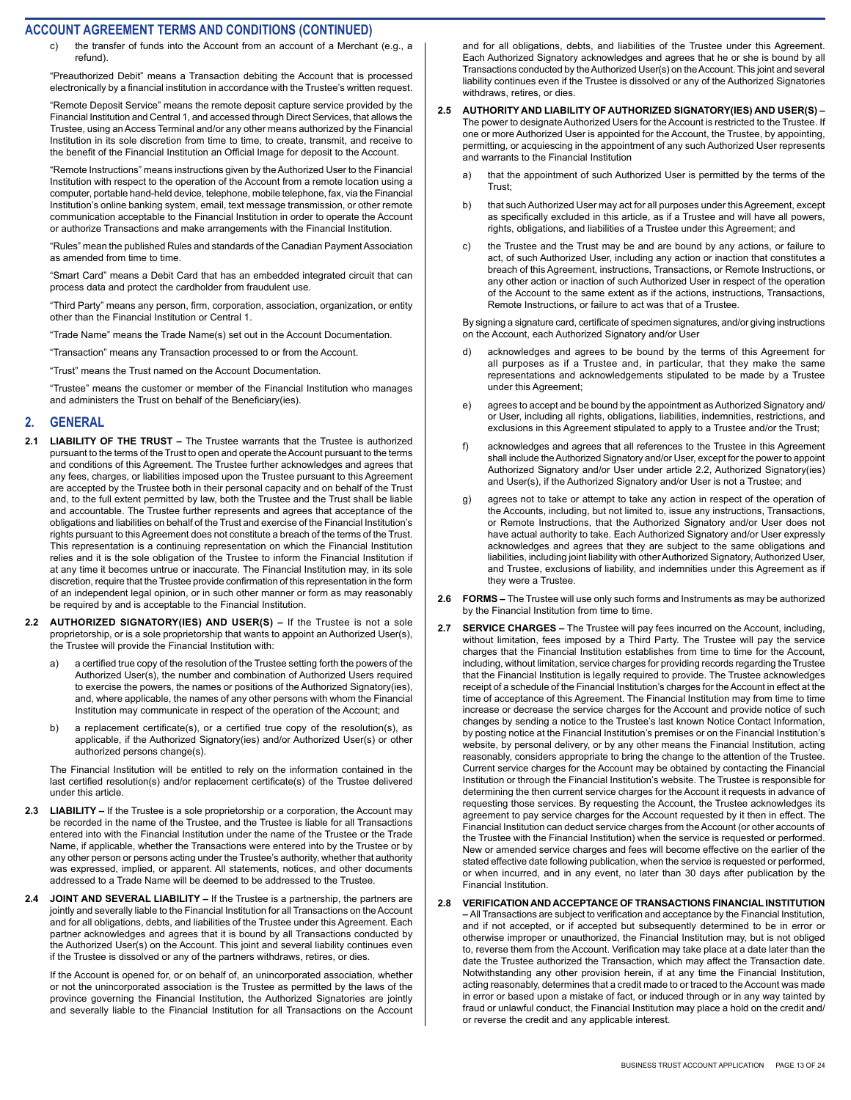the transfer of funds into the Account from an account of a Merchant (e.g., a refund).

"Preauthorized Debit" means a Transaction debiting the Account that is processed electronically by a financial institution in accordance with the Trustee's written request.

"Remote Deposit Service" means the remote deposit capture service provided by the Financial Institution and Central 1, and accessed through Direct Services, that allows the Trustee, using an Access Terminal and/or any other means authorized by the Financial Institution in its sole discretion from time to time, to create, transmit, and receive to the benefit of the Financial Institution an Official Image for deposit to the Account.

"Remote Instructions" means instructions given by the Authorized User to the Financial Institution with respect to the operation of the Account from a remote location using a computer, portable hand-held device, telephone, mobile telephone, fax, via the Financial Institution's online banking system, email, text message transmission, or other remote communication acceptable to the Financial Institution in order to operate the Account or authorize Transactions and make arrangements with the Financial Institution.

"Rules" mean the published Rules and standards of the Canadian Payment Association as amended from time to time.

"Smart Card" means a Debit Card that has an embedded integrated circuit that can process data and protect the cardholder from fraudulent use.

"Third Party" means any person, firm, corporation, association, organization, or entity other than the Financial Institution or Central 1.

"Trade Name" means the Trade Name(s) set out in the Account Documentation.

"Transaction" means any Transaction processed to or from the Account.

"Trust" means the Trust named on the Account Documentation.

"Trustee" means the customer or member of the Financial Institution who manages and administers the Trust on behalf of the Beneficiary(ies).

#### **2. GENERAL**

- **2.1 LIABILITY OF THE TRUST** The Trustee warrants that the Trustee is authorized pursuant to the terms of the Trust to open and operate the Account pursuant to the terms and conditions of this Agreement. The Trustee further acknowledges and agrees that any fees, charges, or liabilities imposed upon the Trustee pursuant to this Agreement are accepted by the Trustee both in their personal capacity and on behalf of the Trust and, to the full extent permitted by law, both the Trustee and the Trust shall be liable and accountable. The Trustee further represents and agrees that acceptance of the obligations and liabilities on behalf of the Trust and exercise of the Financial Institution's rights pursuant to this Agreement does not constitute a breach of the terms of the Trust. This representation is a continuing representation on which the Financial Institution relies and it is the sole obligation of the Trustee to inform the Financial Institution if at any time it becomes untrue or inaccurate. The Financial Institution may, in its sole discretion, require that the Trustee provide confirmation of this representation in the form of an independent legal opinion, or in such other manner or form as may reasonably be required by and is acceptable to the Financial Institution.
- **2.2 AUTHORIZED SIGNATORY(IES) AND USER(S) –** If the Trustee is not a sole proprietorship, or is a sole proprietorship that wants to appoint an Authorized User(s), the Trustee will provide the Financial Institution with:
	- a) a certified true copy of the resolution of the Trustee setting forth the powers of the Authorized User(s), the number and combination of Authorized Users required to exercise the powers, the names or positions of the Authorized Signatory(ies), and, where applicable, the names of any other persons with whom the Financial Institution may communicate in respect of the operation of the Account; and
	- a replacement certificate(s), or a certified true copy of the resolution(s), as applicable, if the Authorized Signatory(ies) and/or Authorized User(s) or other authorized persons change(s).

The Financial Institution will be entitled to rely on the information contained in the last certified resolution(s) and/or replacement certificate(s) of the Trustee delivered under this article.

- **2.3 LIABILITY** If the Trustee is a sole proprietorship or a corporation, the Account may be recorded in the name of the Trustee, and the Trustee is liable for all Transactions entered into with the Financial Institution under the name of the Trustee or the Trade Name, if applicable, whether the Transactions were entered into by the Trustee or by any other person or persons acting under the Trustee's authority, whether that authority was expressed, implied, or apparent. All statements, notices, and other documents addressed to a Trade Name will be deemed to be addressed to the Trustee.
- **2.4 JOINT AND SEVERAL LIABILITY** If the Trustee is a partnership, the partners are jointly and severally liable to the Financial Institution for all Transactions on the Account and for all obligations, debts, and liabilities of the Trustee under this Agreement. Each partner acknowledges and agrees that it is bound by all Transactions conducted by the Authorized User(s) on the Account. This joint and several liability continues even if the Trustee is dissolved or any of the partners withdraws, retires, or dies.

If the Account is opened for, or on behalf of, an unincorporated association, whether or not the unincorporated association is the Trustee as permitted by the laws of the province governing the Financial Institution, the Authorized Signatories are jointly and severally liable to the Financial Institution for all Transactions on the Account

and for all obligations, debts, and liabilities of the Trustee under this Agreement. Each Authorized Signatory acknowledges and agrees that he or she is bound by all Transactions conducted by the Authorized User(s) on the Account. This joint and several liability continues even if the Trustee is dissolved or any of the Authorized Signatories withdraws, retires, or dies.

- **2.5 AUTHORITY AND LIABILITY OF AUTHORIZED SIGNATORY(IES) AND USER(S)**  The power to designate Authorized Users for the Account is restricted to the Trustee. If one or more Authorized User is appointed for the Account, the Trustee, by appointing, permitting, or acquiescing in the appointment of any such Authorized User represents and warrants to the Financial Institution
	- a) that the appointment of such Authorized User is permitted by the terms of the Trust;
	- b) that such Authorized User may act for all purposes under this Agreement, except as specifically excluded in this article, as if a Trustee and will have all powers, rights, obligations, and liabilities of a Trustee under this Agreement; and
	- c) the Trustee and the Trust may be and are bound by any actions, or failure to act, of such Authorized User, including any action or inaction that constitutes a breach of this Agreement, instructions, Transactions, or Remote Instructions, or any other action or inaction of such Authorized User in respect of the operation of the Account to the same extent as if the actions, instructions, Transactions, Remote Instructions, or failure to act was that of a Trustee.

By signing a signature card, certificate of specimen signatures, and/or giving instructions on the Account, each Authorized Signatory and/or User

- d) acknowledges and agrees to be bound by the terms of this Agreement for all purposes as if a Trustee and, in particular, that they make the same representations and acknowledgements stipulated to be made by a Trustee under this Agreement;
- e) agrees to accept and be bound by the appointment as Authorized Signatory and/ or User, including all rights, obligations, liabilities, indemnities, restrictions, and exclusions in this Agreement stipulated to apply to a Trustee and/or the Trust;
- f) acknowledges and agrees that all references to the Trustee in this Agreement shall include the Authorized Signatory and/or User, except for the power to appoint Authorized Signatory and/or User under article 2.2, Authorized Signatory(ies) and User(s), if the Authorized Signatory and/or User is not a Trustee; and
- g) agrees not to take or attempt to take any action in respect of the operation of the Accounts, including, but not limited to, issue any instructions, Transactions, or Remote Instructions, that the Authorized Signatory and/or User does not have actual authority to take. Each Authorized Signatory and/or User expressly acknowledges and agrees that they are subject to the same obligations and liabilities, including joint liability with other Authorized Signatory, Authorized User, and Trustee, exclusions of liability, and indemnities under this Agreement as if they were a Trustee.
- **2.6 FORMS** The Trustee will use only such forms and Instruments as may be authorized by the Financial Institution from time to time.
- **2.7 SERVICE CHARGES** The Trustee will pay fees incurred on the Account, including, without limitation, fees imposed by a Third Party. The Trustee will pay the service charges that the Financial Institution establishes from time to time for the Account, including, without limitation, service charges for providing records regarding the Trustee that the Financial Institution is legally required to provide. The Trustee acknowledges receipt of a schedule of the Financial Institution's charges for the Account in effect at the time of acceptance of this Agreement. The Financial Institution may from time to time increase or decrease the service charges for the Account and provide notice of such changes by sending a notice to the Trustee's last known Notice Contact Information, by posting notice at the Financial Institution's premises or on the Financial Institution's website, by personal delivery, or by any other means the Financial Institution, acting reasonably, considers appropriate to bring the change to the attention of the Trustee. Current service charges for the Account may be obtained by contacting the Financial Institution or through the Financial Institution's website. The Trustee is responsible for determining the then current service charges for the Account it requests in advance of requesting those services. By requesting the Account, the Trustee acknowledges its agreement to pay service charges for the Account requested by it then in effect. The Financial Institution can deduct service charges from the Account (or other accounts of the Trustee with the Financial Institution) when the service is requested or performed. New or amended service charges and fees will become effective on the earlier of the stated effective date following publication, when the service is requested or performed, or when incurred, and in any event, no later than 30 days after publication by the Financial Institution.

#### **2.8 VERIFICATION AND ACCEPTANCE OF TRANSACTIONS FINANCIAL INSTITUTION –** All Transactions are subject to verification and acceptance by the Financial Institution, and if not accepted, or if accepted but subsequently determined to be in error or otherwise improper or unauthorized, the Financial Institution may, but is not obliged to, reverse them from the Account. Verification may take place at a date later than the date the Trustee authorized the Transaction, which may affect the Transaction date. Notwithstanding any other provision herein, if at any time the Financial Institution, acting reasonably, determines that a credit made to or traced to the Account was made in error or based upon a mistake of fact, or induced through or in any way tainted by fraud or unlawful conduct, the Financial Institution may place a hold on the credit and/ or reverse the credit and any applicable interest.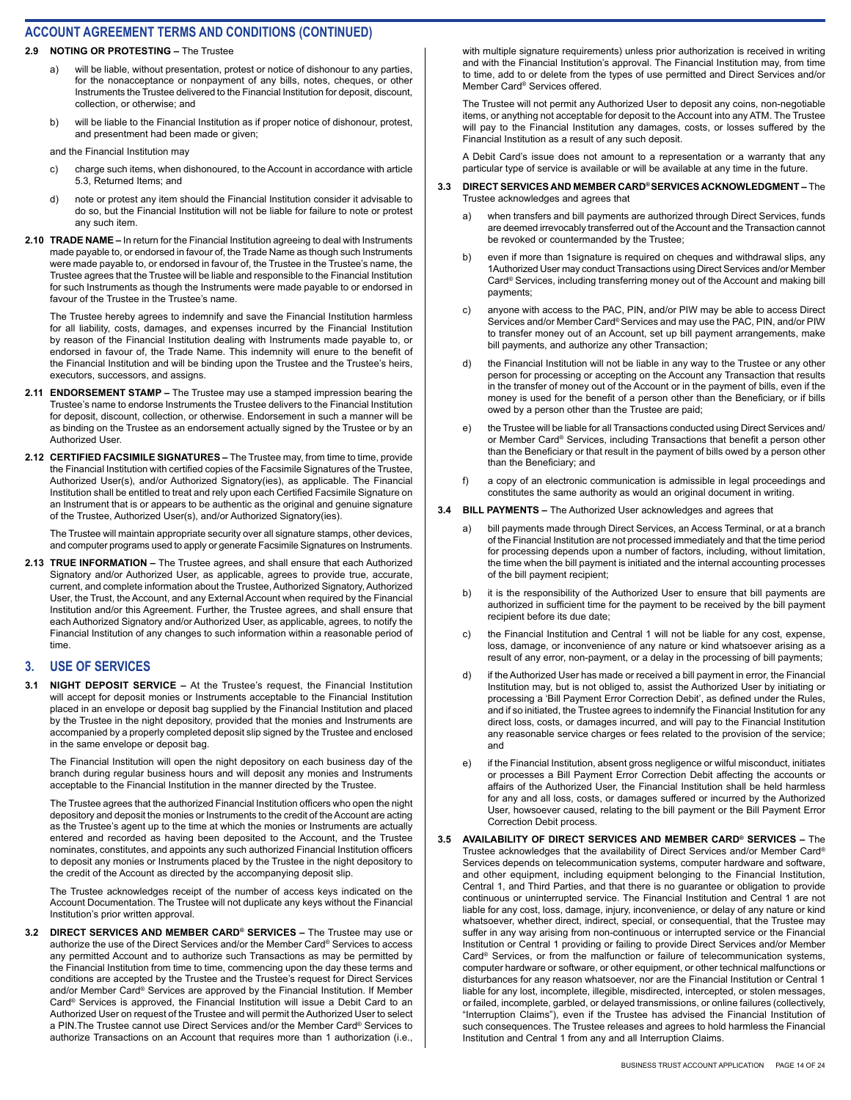#### **2.9 NOTING OR PROTESTING –** The Trustee

- a) will be liable, without presentation, protest or notice of dishonour to any parties, for the nonacceptance or nonpayment of any bills, notes, cheques, or other Instruments the Trustee delivered to the Financial Institution for deposit, discount, collection, or otherwise; and
- b) will be liable to the Financial Institution as if proper notice of dishonour, protest, and presentment had been made or given;

and the Financial Institution may

- c) charge such items, when dishonoured, to the Account in accordance with article 5.3, Returned Items; and
- d) note or protest any item should the Financial Institution consider it advisable to do so, but the Financial Institution will not be liable for failure to note or protest any such item.
- **2.10 TRADE NAME** In return for the Financial Institution agreeing to deal with Instruments made payable to, or endorsed in favour of, the Trade Name as though such Instruments were made payable to, or endorsed in favour of, the Trustee in the Trustee's name, the Trustee agrees that the Trustee will be liable and responsible to the Financial Institution for such Instruments as though the Instruments were made payable to or endorsed in favour of the Trustee in the Trustee's name.

The Trustee hereby agrees to indemnify and save the Financial Institution harmless for all liability, costs, damages, and expenses incurred by the Financial Institution by reason of the Financial Institution dealing with Instruments made payable to, or endorsed in favour of, the Trade Name. This indemnity will enure to the benefit of the Financial Institution and will be binding upon the Trustee and the Trustee's heirs, executors, successors, and assigns.

- **2.11 ENDORSEMENT STAMP** The Trustee may use a stamped impression bearing the Trustee's name to endorse Instruments the Trustee delivers to the Financial Institution for deposit, discount, collection, or otherwise. Endorsement in such a manner will be as binding on the Trustee as an endorsement actually signed by the Trustee or by an Authorized User.
- **2.12 CERTIFIED FACSIMILE SIGNATURES** The Trustee may, from time to time, provide the Financial Institution with certified copies of the Facsimile Signatures of the Trustee, Authorized User(s), and/or Authorized Signatory(ies), as applicable. The Financial Institution shall be entitled to treat and rely upon each Certified Facsimile Signature on an Instrument that is or appears to be authentic as the original and genuine signature of the Trustee, Authorized User(s), and/or Authorized Signatory(ies).

The Trustee will maintain appropriate security over all signature stamps, other devices, and computer programs used to apply or generate Facsimile Signatures on Instruments.

**2.13 TRUE INFORMATION –** The Trustee agrees, and shall ensure that each Authorized Signatory and/or Authorized User, as applicable, agrees to provide true, accurate, current, and complete information about the Trustee, Authorized Signatory, Authorized User, the Trust, the Account, and any External Account when required by the Financial Institution and/or this Agreement. Further, the Trustee agrees, and shall ensure that each Authorized Signatory and/or Authorized User, as applicable, agrees, to notify the Financial Institution of any changes to such information within a reasonable period of time.

#### **3. USE OF SERVICES**

**3.1 NIGHT DEPOSIT SERVICE –** At the Trustee's request, the Financial Institution will accept for deposit monies or Instruments acceptable to the Financial Institution placed in an envelope or deposit bag supplied by the Financial Institution and placed by the Trustee in the night depository, provided that the monies and Instruments are accompanied by a properly completed deposit slip signed by the Trustee and enclosed in the same envelope or deposit bag.

The Financial Institution will open the night depository on each business day of the branch during regular business hours and will deposit any monies and Instruments acceptable to the Financial Institution in the manner directed by the Trustee.

The Trustee agrees that the authorized Financial Institution officers who open the night depository and deposit the monies or Instruments to the credit of the Account are acting as the Trustee's agent up to the time at which the monies or Instruments are actually entered and recorded as having been deposited to the Account, and the Trustee nominates, constitutes, and appoints any such authorized Financial Institution officers to deposit any monies or Instruments placed by the Trustee in the night depository to the credit of the Account as directed by the accompanying deposit slip.

The Trustee acknowledges receipt of the number of access keys indicated on the Account Documentation. The Trustee will not duplicate any keys without the Financial Institution's prior written approval.

**3.2 DIRECT SERVICES AND MEMBER CARD® SERVICES –** The Trustee may use or authorize the use of the Direct Services and/or the Member Card® Services to access any permitted Account and to authorize such Transactions as may be permitted by the Financial Institution from time to time, commencing upon the day these terms and conditions are accepted by the Trustee and the Trustee's request for Direct Services and/or Member Card® Services are approved by the Financial Institution. If Member Card® Services is approved, the Financial Institution will issue a Debit Card to an Authorized User on request of the Trustee and will permit the Authorized User to select a PIN.The Trustee cannot use Direct Services and/or the Member Card® Services to authorize Transactions on an Account that requires more than 1 authorization (i.e.,

with multiple signature requirements) unless prior authorization is received in writing and with the Financial Institution's approval. The Financial Institution may, from time to time, add to or delete from the types of use permitted and Direct Services and/or Member Card® Services offered.

The Trustee will not permit any Authorized User to deposit any coins, non-negotiable items, or anything not acceptable for deposit to the Account into any ATM. The Trustee will pay to the Financial Institution any damages, costs, or losses suffered by the Financial Institution as a result of any such deposit.

A Debit Card's issue does not amount to a representation or a warranty that any particular type of service is available or will be available at any time in the future.

#### **3.3 DIRECT SERVICES AND MEMBER CARD® SERVICES ACKNOWLEDGMENT –** The Trustee acknowledges and agrees that

- when transfers and bill payments are authorized through Direct Services, funds are deemed irrevocably transferred out of the Account and the Transaction cannot be revoked or countermanded by the Trustee;
- b) even if more than 1signature is required on cheques and withdrawal slips, any 1Authorized User may conduct Transactions using Direct Services and/or Member Card® Services, including transferring money out of the Account and making bill payments;
- c) anyone with access to the PAC, PIN, and/or PIW may be able to access Direct Services and/or Member Card® Services and may use the PAC, PIN, and/or PIW to transfer money out of an Account, set up bill payment arrangements, make bill payments, and authorize any other Transaction;
- d) the Financial Institution will not be liable in any way to the Trustee or any other person for processing or accepting on the Account any Transaction that results in the transfer of money out of the Account or in the payment of bills, even if the money is used for the benefit of a person other than the Beneficiary, or if bills owed by a person other than the Trustee are paid;
- e) the Trustee will be liable for all Transactions conducted using Direct Services and/ or Member Card® Services, including Transactions that benefit a person other than the Beneficiary or that result in the payment of bills owed by a person other than the Beneficiary; and
- f) a copy of an electronic communication is admissible in legal proceedings and constitutes the same authority as would an original document in writing.
- **3.4 BILL PAYMENTS** The Authorized User acknowledges and agrees that
	- a) bill payments made through Direct Services, an Access Terminal, or at a branch of the Financial Institution are not processed immediately and that the time period for processing depends upon a number of factors, including, without limitation, the time when the bill payment is initiated and the internal accounting processes of the bill payment recipient;
	- b) it is the responsibility of the Authorized User to ensure that bill payments are authorized in sufficient time for the payment to be received by the bill payment recipient before its due date;
	- c) the Financial Institution and Central 1 will not be liable for any cost, expense, loss, damage, or inconvenience of any nature or kind whatsoever arising as a result of any error, non-payment, or a delay in the processing of bill payments;
	- d) if the Authorized User has made or received a bill payment in error, the Financial Institution may, but is not obliged to, assist the Authorized User by initiating or processing a 'Bill Payment Error Correction Debit', as defined under the Rules, and if so initiated, the Trustee agrees to indemnify the Financial Institution for any direct loss, costs, or damages incurred, and will pay to the Financial Institution any reasonable service charges or fees related to the provision of the service; and
	- e) if the Financial Institution, absent gross negligence or wilful misconduct, initiates or processes a Bill Payment Error Correction Debit affecting the accounts or affairs of the Authorized User, the Financial Institution shall be held harmless for any and all loss, costs, or damages suffered or incurred by the Authorized User, howsoever caused, relating to the bill payment or the Bill Payment Error Correction Debit process.
- **3.5 AVAILABILITY OF DIRECT SERVICES AND MEMBER CARD® SERVICES** The Trustee acknowledges that the availability of Direct Services and/or Member Card® Services depends on telecommunication systems, computer hardware and software, and other equipment, including equipment belonging to the Financial Institution, Central 1, and Third Parties, and that there is no guarantee or obligation to provide continuous or uninterrupted service. The Financial Institution and Central 1 are not liable for any cost, loss, damage, injury, inconvenience, or delay of any nature or kind whatsoever, whether direct, indirect, special, or consequential, that the Trustee may suffer in any way arising from non-continuous or interrupted service or the Financial Institution or Central 1 providing or failing to provide Direct Services and/or Member Card® Services, or from the malfunction or failure of telecommunication systems, computer hardware or software, or other equipment, or other technical malfunctions or disturbances for any reason whatsoever, nor are the Financial Institution or Central 1 liable for any lost, incomplete, illegible, misdirected, intercepted, or stolen messages, or failed, incomplete, garbled, or delayed transmissions, or online failures (collectively, "Interruption Claims"), even if the Trustee has advised the Financial Institution of such consequences. The Trustee releases and agrees to hold harmless the Financial Institution and Central 1 from any and all Interruption Claims.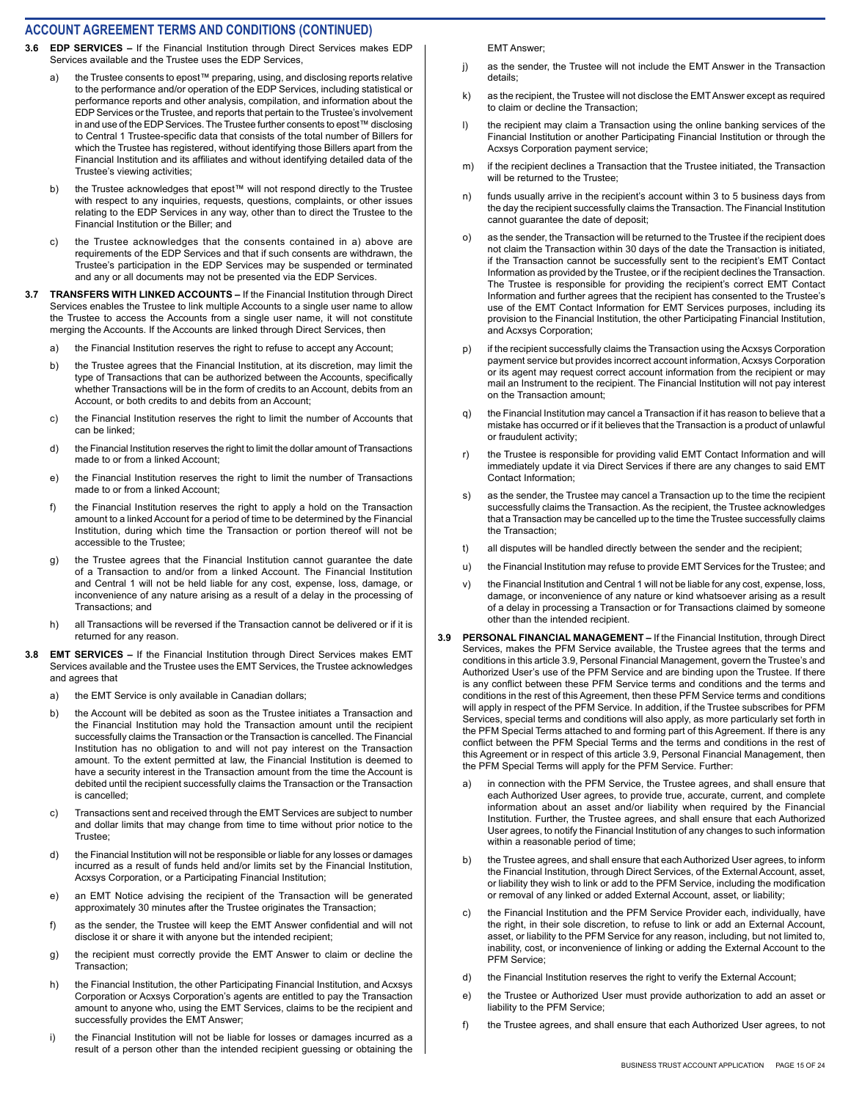- **3.6 EDP SERVICES** If the Financial Institution through Direct Services makes EDP Services available and the Trustee uses the EDP Services,
	- a) the Trustee consents to epost™ preparing, using, and disclosing reports relative to the performance and/or operation of the EDP Services, including statistical or performance reports and other analysis, compilation, and information about the EDP Services or the Trustee, and reports that pertain to the Trustee's involvement in and use of the EDP Services. The Trustee further consents to epost™ disclosing to Central 1 Trustee-specific data that consists of the total number of Billers for which the Trustee has registered, without identifying those Billers apart from the Financial Institution and its affiliates and without identifying detailed data of the Trustee's viewing activities;
	- b) the Trustee acknowledges that epost™ will not respond directly to the Trustee with respect to any inquiries, requests, questions, complaints, or other issues relating to the EDP Services in any way, other than to direct the Trustee to the Financial Institution or the Biller; and
	- c) the Trustee acknowledges that the consents contained in a) above are requirements of the EDP Services and that if such consents are withdrawn, the Trustee's participation in the EDP Services may be suspended or terminated and any or all documents may not be presented via the EDP Services.
- **3.7 TRANSFERS WITH LINKED ACCOUNTS** If the Financial Institution through Direct Services enables the Trustee to link multiple Accounts to a single user name to allow the Trustee to access the Accounts from a single user name, it will not constitute merging the Accounts. If the Accounts are linked through Direct Services, then
	- a) the Financial Institution reserves the right to refuse to accept any Account;
	- b) the Trustee agrees that the Financial Institution, at its discretion, may limit the type of Transactions that can be authorized between the Accounts, specifically whether Transactions will be in the form of credits to an Account, debits from an Account, or both credits to and debits from an Account;
	- c) the Financial Institution reserves the right to limit the number of Accounts that can be linked;
	- d) the Financial Institution reserves the right to limit the dollar amount of Transactions made to or from a linked Account;
	- e) the Financial Institution reserves the right to limit the number of Transactions made to or from a linked Account:
	- f) the Financial Institution reserves the right to apply a hold on the Transaction amount to a linked Account for a period of time to be determined by the Financial Institution, during which time the Transaction or portion thereof will not be accessible to the Trustee;
	- g) the Trustee agrees that the Financial Institution cannot guarantee the date of a Transaction to and/or from a linked Account. The Financial Institution and Central 1 will not be held liable for any cost, expense, loss, damage, or inconvenience of any nature arising as a result of a delay in the processing of Transactions; and
	- h) all Transactions will be reversed if the Transaction cannot be delivered or if it is returned for any reason.
- **3.8 EMT SERVICES** If the Financial Institution through Direct Services makes EMT Services available and the Trustee uses the EMT Services, the Trustee acknowledges and agrees that
	- a) the EMT Service is only available in Canadian dollars;
	- b) the Account will be debited as soon as the Trustee initiates a Transaction and the Financial Institution may hold the Transaction amount until the recipient successfully claims the Transaction or the Transaction is cancelled. The Financial Institution has no obligation to and will not pay interest on the Transaction amount. To the extent permitted at law, the Financial Institution is deemed to have a security interest in the Transaction amount from the time the Account is debited until the recipient successfully claims the Transaction or the Transaction is cancelled;
	- c) Transactions sent and received through the EMT Services are subject to number and dollar limits that may change from time to time without prior notice to the Trustee;
	- d) the Financial Institution will not be responsible or liable for any losses or damages incurred as a result of funds held and/or limits set by the Financial Institution, Acxsys Corporation, or a Participating Financial Institution;
	- e) an EMT Notice advising the recipient of the Transaction will be generated approximately 30 minutes after the Trustee originates the Transaction;
	- f) as the sender, the Trustee will keep the EMT Answer confidential and will not disclose it or share it with anyone but the intended recipient;
	- g) the recipient must correctly provide the EMT Answer to claim or decline the Transaction;
	- h) the Financial Institution, the other Participating Financial Institution, and Acxsys Corporation or Acxsys Corporation's agents are entitled to pay the Transaction amount to anyone who, using the EMT Services, claims to be the recipient and successfully provides the EMT Answer;
	- i) the Financial Institution will not be liable for losses or damages incurred as a result of a person other than the intended recipient guessing or obtaining the

EMT Answer;

- j) as the sender, the Trustee will not include the EMT Answer in the Transaction details;
- k) as the recipient, the Trustee will not disclose the EMT Answer except as required to claim or decline the Transaction;
- l) the recipient may claim a Transaction using the online banking services of the Financial Institution or another Participating Financial Institution or through the Acxsys Corporation payment service;
- m) if the recipient declines a Transaction that the Trustee initiated, the Transaction will be returned to the Trustee;
- n) funds usually arrive in the recipient's account within 3 to 5 business days from the day the recipient successfully claims the Transaction. The Financial Institution cannot guarantee the date of deposit;
- o) as the sender, the Transaction will be returned to the Trustee if the recipient does not claim the Transaction within 30 days of the date the Transaction is initiated, if the Transaction cannot be successfully sent to the recipient's EMT Contact Information as provided by the Trustee, or if the recipient declines the Transaction. The Trustee is responsible for providing the recipient's correct EMT Contact Information and further agrees that the recipient has consented to the Trustee's use of the EMT Contact Information for EMT Services purposes, including its provision to the Financial Institution, the other Participating Financial Institution, and Acxsys Corporation;
- p) if the recipient successfully claims the Transaction using the Acxsys Corporation payment service but provides incorrect account information, Acxsys Corporation or its agent may request correct account information from the recipient or may mail an Instrument to the recipient. The Financial Institution will not pay interest on the Transaction amount;
- q) the Financial Institution may cancel a Transaction if it has reason to believe that a mistake has occurred or if it believes that the Transaction is a product of unlawful or fraudulent activity;
- r) the Trustee is responsible for providing valid EMT Contact Information and will immediately update it via Direct Services if there are any changes to said EMT Contact Information;
- s) as the sender, the Trustee may cancel a Transaction up to the time the recipient successfully claims the Transaction. As the recipient, the Trustee acknowledges that a Transaction may be cancelled up to the time the Trustee successfully claims the Transaction;
- t) all disputes will be handled directly between the sender and the recipient;
- u) the Financial Institution may refuse to provide EMT Services for the Trustee; and
- v) the Financial Institution and Central 1 will not be liable for any cost, expense, loss, damage, or inconvenience of any nature or kind whatsoever arising as a result of a delay in processing a Transaction or for Transactions claimed by someone other than the intended recipient.
- **3.9 PERSONAL FINANCIAL MANAGEMENT** If the Financial Institution, through Direct Services, makes the PFM Service available, the Trustee agrees that the terms and conditions in this article 3.9, Personal Financial Management, govern the Trustee's and Authorized User's use of the PFM Service and are binding upon the Trustee. If there is any conflict between these PFM Service terms and conditions and the terms and conditions in the rest of this Agreement, then these PFM Service terms and conditions will apply in respect of the PFM Service. In addition, if the Trustee subscribes for PFM Services, special terms and conditions will also apply, as more particularly set forth in the PFM Special Terms attached to and forming part of this Agreement. If there is any conflict between the PFM Special Terms and the terms and conditions in the rest of this Agreement or in respect of this article 3.9, Personal Financial Management, then the PFM Special Terms will apply for the PFM Service. Further:
	- a) in connection with the PFM Service, the Trustee agrees, and shall ensure that each Authorized User agrees, to provide true, accurate, current, and complete information about an asset and/or liability when required by the Financial Institution. Further, the Trustee agrees, and shall ensure that each Authorized User agrees, to notify the Financial Institution of any changes to such information within a reasonable period of time;
	- b) the Trustee agrees, and shall ensure that each Authorized User agrees, to inform the Financial Institution, through Direct Services, of the External Account, asset, or liability they wish to link or add to the PFM Service, including the modification or removal of any linked or added External Account, asset, or liability;
	- c) the Financial Institution and the PFM Service Provider each, individually, have the right, in their sole discretion, to refuse to link or add an External Account, asset, or liability to the PFM Service for any reason, including, but not limited to, inability, cost, or inconvenience of linking or adding the External Account to the PFM Service;
	- d) the Financial Institution reserves the right to verify the External Account;
	- e) the Trustee or Authorized User must provide authorization to add an asset or liability to the PFM Service;
	- f) the Trustee agrees, and shall ensure that each Authorized User agrees, to not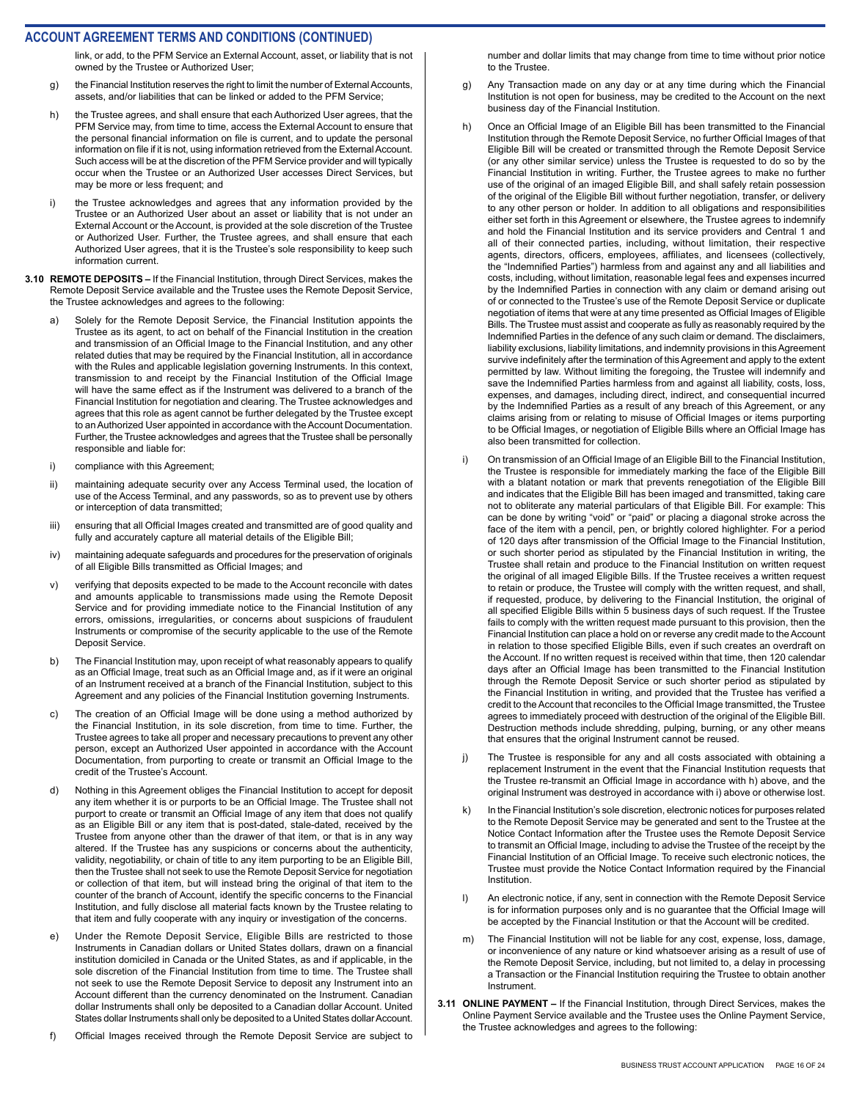link, or add, to the PFM Service an External Account, asset, or liability that is not owned by the Trustee or Authorized User;

- g) the Financial Institution reserves the right to limit the number of External Accounts, assets, and/or liabilities that can be linked or added to the PFM Service;
- h) the Trustee agrees, and shall ensure that each Authorized User agrees, that the PFM Service may, from time to time, access the External Account to ensure that the personal financial information on file is current, and to update the personal information on file if it is not, using information retrieved from the External Account. Such access will be at the discretion of the PFM Service provider and will typically occur when the Trustee or an Authorized User accesses Direct Services, but may be more or less frequent; and
- i) the Trustee acknowledges and agrees that any information provided by the Trustee or an Authorized User about an asset or liability that is not under an External Account or the Account, is provided at the sole discretion of the Trustee or Authorized User. Further, the Trustee agrees, and shall ensure that each Authorized User agrees, that it is the Trustee's sole responsibility to keep such information current.
- **3.10 REMOTE DEPOSITS** If the Financial Institution, through Direct Services, makes the Remote Deposit Service available and the Trustee uses the Remote Deposit Service, the Trustee acknowledges and agrees to the following:
	- a) Solely for the Remote Deposit Service, the Financial Institution appoints the Trustee as its agent, to act on behalf of the Financial Institution in the creation and transmission of an Official Image to the Financial Institution, and any other related duties that may be required by the Financial Institution, all in accordance with the Rules and applicable legislation governing Instruments. In this context, transmission to and receipt by the Financial Institution of the Official Image will have the same effect as if the Instrument was delivered to a branch of the Financial Institution for negotiation and clearing. The Trustee acknowledges and agrees that this role as agent cannot be further delegated by the Trustee except to an Authorized User appointed in accordance with the Account Documentation. Further, the Trustee acknowledges and agrees that the Trustee shall be personally responsible and liable for:
	- i) compliance with this Agreement;
	- ii) maintaining adequate security over any Access Terminal used, the location of use of the Access Terminal, and any passwords, so as to prevent use by others or interception of data transmitted;
	- iii) ensuring that all Official Images created and transmitted are of good quality and fully and accurately capture all material details of the Eligible Bill;
	- iv) maintaining adequate safeguards and procedures for the preservation of originals of all Eligible Bills transmitted as Official Images; and
	- v) verifying that deposits expected to be made to the Account reconcile with dates and amounts applicable to transmissions made using the Remote Deposit Service and for providing immediate notice to the Financial Institution of any errors, omissions, irregularities, or concerns about suspicions of fraudulent Instruments or compromise of the security applicable to the use of the Remote Deposit Service.
	- b) The Financial Institution may, upon receipt of what reasonably appears to qualify as an Official Image, treat such as an Official Image and, as if it were an original of an Instrument received at a branch of the Financial Institution, subject to this Agreement and any policies of the Financial Institution governing Instruments.
	- c) The creation of an Official Image will be done using a method authorized by the Financial Institution, in its sole discretion, from time to time. Further, the Trustee agrees to take all proper and necessary precautions to prevent any other person, except an Authorized User appointed in accordance with the Account Documentation, from purporting to create or transmit an Official Image to the credit of the Trustee's Account.
	- d) Nothing in this Agreement obliges the Financial Institution to accept for deposit any item whether it is or purports to be an Official Image. The Trustee shall not purport to create or transmit an Official Image of any item that does not qualify as an Eligible Bill or any item that is post-dated, stale-dated, received by the Trustee from anyone other than the drawer of that item, or that is in any way altered. If the Trustee has any suspicions or concerns about the authenticity, validity, negotiability, or chain of title to any item purporting to be an Eligible Bill, then the Trustee shall not seek to use the Remote Deposit Service for negotiation or collection of that item, but will instead bring the original of that item to the counter of the branch of Account, identify the specific concerns to the Financial Institution, and fully disclose all material facts known by the Trustee relating to that item and fully cooperate with any inquiry or investigation of the concerns.
	- e) Under the Remote Deposit Service, Eligible Bills are restricted to those Instruments in Canadian dollars or United States dollars, drawn on a financial institution domiciled in Canada or the United States, as and if applicable, in the sole discretion of the Financial Institution from time to time. The Trustee shall not seek to use the Remote Deposit Service to deposit any Instrument into an Account different than the currency denominated on the Instrument. Canadian dollar Instruments shall only be deposited to a Canadian dollar Account. United States dollar Instruments shall only be deposited to a United States dollar Account.
	- f) Official Images received through the Remote Deposit Service are subject to

number and dollar limits that may change from time to time without prior notice to the Trustee.

- g) Any Transaction made on any day or at any time during which the Financial Institution is not open for business, may be credited to the Account on the next business day of the Financial Institution.
- h) Once an Official Image of an Eligible Bill has been transmitted to the Financial Institution through the Remote Deposit Service, no further Official Images of that Eligible Bill will be created or transmitted through the Remote Deposit Service (or any other similar service) unless the Trustee is requested to do so by the Financial Institution in writing. Further, the Trustee agrees to make no further use of the original of an imaged Eligible Bill, and shall safely retain possession of the original of the Eligible Bill without further negotiation, transfer, or delivery to any other person or holder. In addition to all obligations and responsibilities either set forth in this Agreement or elsewhere, the Trustee agrees to indemnify and hold the Financial Institution and its service providers and Central 1 and all of their connected parties, including, without limitation, their respective agents, directors, officers, employees, affiliates, and licensees (collectively, the "Indemnified Parties") harmless from and against any and all liabilities and costs, including, without limitation, reasonable legal fees and expenses incurred by the Indemnified Parties in connection with any claim or demand arising out of or connected to the Trustee's use of the Remote Deposit Service or duplicate negotiation of items that were at any time presented as Official Images of Eligible Bills. The Trustee must assist and cooperate as fully as reasonably required by the Indemnified Parties in the defence of any such claim or demand. The disclaimers, liability exclusions, liability limitations, and indemnity provisions in this Agreement survive indefinitely after the termination of this Agreement and apply to the extent permitted by law. Without limiting the foregoing, the Trustee will indemnify and save the Indemnified Parties harmless from and against all liability, costs, loss, expenses, and damages, including direct, indirect, and consequential incurred by the Indemnified Parties as a result of any breach of this Agreement, or any claims arising from or relating to misuse of Official Images or items purporting to be Official Images, or negotiation of Eligible Bills where an Official Image has also been transmitted for collection.
- i) On transmission of an Official Image of an Eligible Bill to the Financial Institution, the Trustee is responsible for immediately marking the face of the Eligible Bill with a blatant notation or mark that prevents renegotiation of the Eligible Bill and indicates that the Eligible Bill has been imaged and transmitted, taking care not to obliterate any material particulars of that Eligible Bill. For example: This can be done by writing "void" or "paid" or placing a diagonal stroke across the face of the item with a pencil, pen, or brightly colored highlighter. For a period of 120 days after transmission of the Official Image to the Financial Institution, or such shorter period as stipulated by the Financial Institution in writing, the Trustee shall retain and produce to the Financial Institution on written request the original of all imaged Eligible Bills. If the Trustee receives a written request to retain or produce, the Trustee will comply with the written request, and shall, if requested, produce, by delivering to the Financial Institution, the original of all specified Eligible Bills within 5 business days of such request. If the Trustee fails to comply with the written request made pursuant to this provision, then the Financial Institution can place a hold on or reverse any credit made to the Account in relation to those specified Eligible Bills, even if such creates an overdraft on the Account. If no written request is received within that time, then 120 calendar days after an Official Image has been transmitted to the Financial Institution through the Remote Deposit Service or such shorter period as stipulated by the Financial Institution in writing, and provided that the Trustee has verified a credit to the Account that reconciles to the Official Image transmitted, the Trustee agrees to immediately proceed with destruction of the original of the Eligible Bill. Destruction methods include shredding, pulping, burning, or any other means that ensures that the original Instrument cannot be reused.
- j) The Trustee is responsible for any and all costs associated with obtaining a replacement Instrument in the event that the Financial Institution requests that the Trustee re-transmit an Official Image in accordance with h) above, and the original Instrument was destroyed in accordance with i) above or otherwise lost.
- k) In the Financial Institution's sole discretion, electronic notices for purposes related to the Remote Deposit Service may be generated and sent to the Trustee at the Notice Contact Information after the Trustee uses the Remote Deposit Service to transmit an Official Image, including to advise the Trustee of the receipt by the Financial Institution of an Official Image. To receive such electronic notices, the Trustee must provide the Notice Contact Information required by the Financial Institution.
- l) An electronic notice, if any, sent in connection with the Remote Deposit Service is for information purposes only and is no guarantee that the Official Image will be accepted by the Financial Institution or that the Account will be credited.
- m) The Financial Institution will not be liable for any cost, expense, loss, damage, or inconvenience of any nature or kind whatsoever arising as a result of use of the Remote Deposit Service, including, but not limited to, a delay in processing a Transaction or the Financial Institution requiring the Trustee to obtain another Instrument.
- **3.11 ONLINE PAYMENT** If the Financial Institution, through Direct Services, makes the Online Payment Service available and the Trustee uses the Online Payment Service, the Trustee acknowledges and agrees to the following: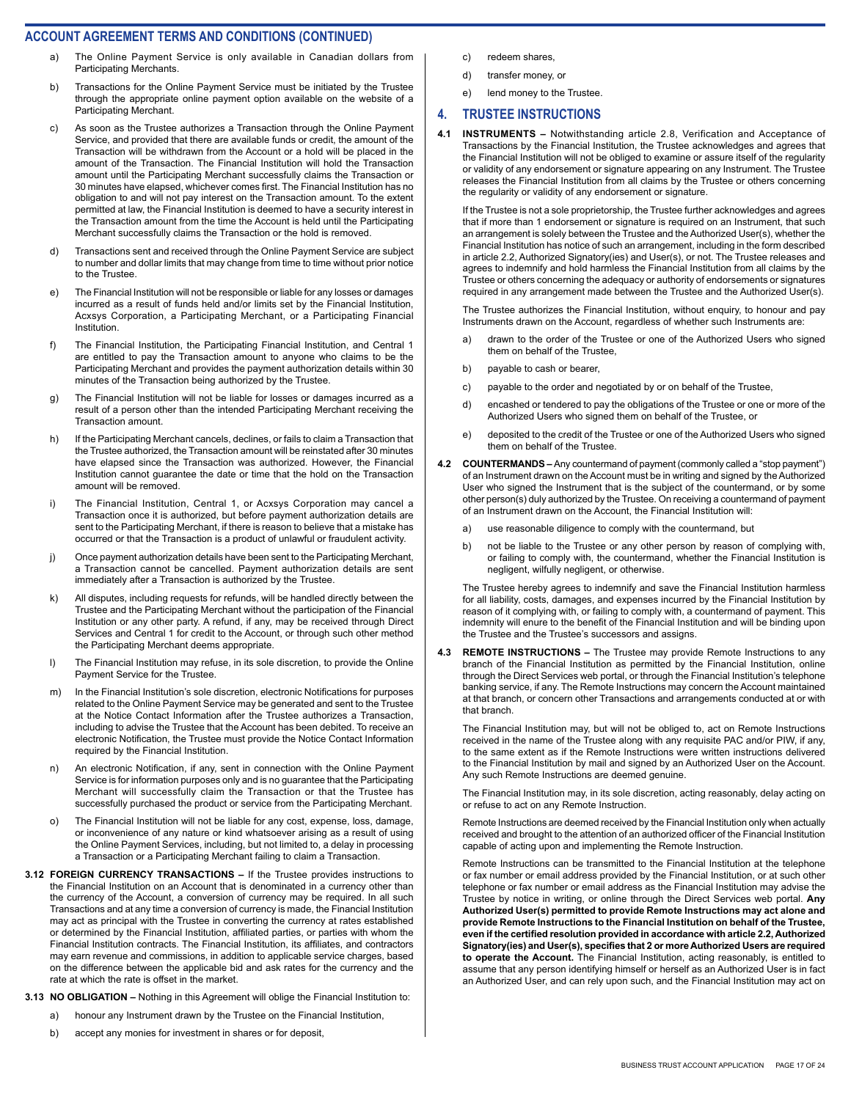- The Online Payment Service is only available in Canadian dollars from Participating Merchants.
- b) Transactions for the Online Payment Service must be initiated by the Trustee through the appropriate online payment option available on the website of a Participating Merchant.
- c) As soon as the Trustee authorizes a Transaction through the Online Payment Service, and provided that there are available funds or credit, the amount of the Transaction will be withdrawn from the Account or a hold will be placed in the amount of the Transaction. The Financial Institution will hold the Transaction amount until the Participating Merchant successfully claims the Transaction or 30 minutes have elapsed, whichever comes first. The Financial Institution has no obligation to and will not pay interest on the Transaction amount. To the extent permitted at law, the Financial Institution is deemed to have a security interest in the Transaction amount from the time the Account is held until the Participating Merchant successfully claims the Transaction or the hold is removed.
- d) Transactions sent and received through the Online Payment Service are subject to number and dollar limits that may change from time to time without prior notice to the Trustee.
- e) The Financial Institution will not be responsible or liable for any losses or damages incurred as a result of funds held and/or limits set by the Financial Institution, Acxsys Corporation, a Participating Merchant, or a Participating Financial Institution.
- f) The Financial Institution, the Participating Financial Institution, and Central 1 are entitled to pay the Transaction amount to anyone who claims to be the Participating Merchant and provides the payment authorization details within 30 minutes of the Transaction being authorized by the Trustee.
- g) The Financial Institution will not be liable for losses or damages incurred as a result of a person other than the intended Participating Merchant receiving the Transaction amount.
- h) If the Participating Merchant cancels, declines, or fails to claim a Transaction that the Trustee authorized, the Transaction amount will be reinstated after 30 minutes have elapsed since the Transaction was authorized. However, the Financial Institution cannot guarantee the date or time that the hold on the Transaction amount will be removed.
- i) The Financial Institution, Central 1, or Acxsys Corporation may cancel a Transaction once it is authorized, but before payment authorization details are sent to the Participating Merchant, if there is reason to believe that a mistake has occurred or that the Transaction is a product of unlawful or fraudulent activity.
- j) Once payment authorization details have been sent to the Participating Merchant, a Transaction cannot be cancelled. Payment authorization details are sent immediately after a Transaction is authorized by the Trustee.
- k) All disputes, including requests for refunds, will be handled directly between the Trustee and the Participating Merchant without the participation of the Financial Institution or any other party. A refund, if any, may be received through Direct Services and Central 1 for credit to the Account, or through such other method the Participating Merchant deems appropriate.
- l) The Financial Institution may refuse, in its sole discretion, to provide the Online Payment Service for the Trustee.
- m) In the Financial Institution's sole discretion, electronic Notifications for purposes related to the Online Payment Service may be generated and sent to the Trustee at the Notice Contact Information after the Trustee authorizes a Transaction, including to advise the Trustee that the Account has been debited. To receive an electronic Notification, the Trustee must provide the Notice Contact Information required by the Financial Institution.
- n) An electronic Notification, if any, sent in connection with the Online Payment Service is for information purposes only and is no guarantee that the Participating Merchant will successfully claim the Transaction or that the Trustee has successfully purchased the product or service from the Participating Merchant.
- o) The Financial Institution will not be liable for any cost, expense, loss, damage, or inconvenience of any nature or kind whatsoever arising as a result of using the Online Payment Services, including, but not limited to, a delay in processing a Transaction or a Participating Merchant failing to claim a Transaction.
- **3.12 FOREIGN CURRENCY TRANSACTIONS** If the Trustee provides instructions to the Financial Institution on an Account that is denominated in a currency other than the currency of the Account, a conversion of currency may be required. In all such Transactions and at any time a conversion of currency is made, the Financial Institution may act as principal with the Trustee in converting the currency at rates established or determined by the Financial Institution, affiliated parties, or parties with whom the Financial Institution contracts. The Financial Institution, its affiliates, and contractors may earn revenue and commissions, in addition to applicable service charges, based on the difference between the applicable bid and ask rates for the currency and the rate at which the rate is offset in the market.
- **3.13 NO OBLIGATION** Nothing in this Agreement will oblige the Financial Institution to:
	- a) honour any Instrument drawn by the Trustee on the Financial Institution,
	- b) accept any monies for investment in shares or for deposit,
- c) redeem shares,
- d) transfer money, or
- e) lend money to the Trustee.

#### **4. TRUSTEE INSTRUCTIONS**

**4.1 INSTRUMENTS –** Notwithstanding article 2.8, Verification and Acceptance of Transactions by the Financial Institution, the Trustee acknowledges and agrees that the Financial Institution will not be obliged to examine or assure itself of the regularity or validity of any endorsement or signature appearing on any Instrument. The Trustee releases the Financial Institution from all claims by the Trustee or others concerning the regularity or validity of any endorsement or signature.

If the Trustee is not a sole proprietorship, the Trustee further acknowledges and agrees that if more than 1 endorsement or signature is required on an Instrument, that such an arrangement is solely between the Trustee and the Authorized User(s), whether the Financial Institution has notice of such an arrangement, including in the form described in article 2.2, Authorized Signatory(ies) and User(s), or not. The Trustee releases and agrees to indemnify and hold harmless the Financial Institution from all claims by the Trustee or others concerning the adequacy or authority of endorsements or signatures required in any arrangement made between the Trustee and the Authorized User(s).

The Trustee authorizes the Financial Institution, without enquiry, to honour and pay Instruments drawn on the Account, regardless of whether such Instruments are:

- a) drawn to the order of the Trustee or one of the Authorized Users who signed them on behalf of the Trustee,
- b) payable to cash or bearer,
- c) payable to the order and negotiated by or on behalf of the Trustee,
- d) encashed or tendered to pay the obligations of the Trustee or one or more of the Authorized Users who signed them on behalf of the Trustee, or
- e) deposited to the credit of the Trustee or one of the Authorized Users who signed them on behalf of the Trustee.
- **4.2 COUNTERMANDS** Any countermand of payment (commonly called a "stop payment") of an Instrument drawn on the Account must be in writing and signed by the Authorized User who signed the Instrument that is the subject of the countermand, or by some other person(s) duly authorized by the Trustee. On receiving a countermand of payment of an Instrument drawn on the Account, the Financial Institution will:
	- a) use reasonable diligence to comply with the countermand, but
	- b) not be liable to the Trustee or any other person by reason of complying with, or failing to comply with, the countermand, whether the Financial Institution is negligent, wilfully negligent, or otherwise.

The Trustee hereby agrees to indemnify and save the Financial Institution harmless for all liability, costs, damages, and expenses incurred by the Financial Institution by reason of it complying with, or failing to comply with, a countermand of payment. This indemnity will enure to the benefit of the Financial Institution and will be binding upon the Trustee and the Trustee's successors and assigns.

**4.3 REMOTE INSTRUCTIONS –** The Trustee may provide Remote Instructions to any branch of the Financial Institution as permitted by the Financial Institution, online through the Direct Services web portal, or through the Financial Institution's telephone banking service, if any. The Remote Instructions may concern the Account maintained at that branch, or concern other Transactions and arrangements conducted at or with that branch.

The Financial Institution may, but will not be obliged to, act on Remote Instructions received in the name of the Trustee along with any requisite PAC and/or PIW, if any, to the same extent as if the Remote Instructions were written instructions delivered to the Financial Institution by mail and signed by an Authorized User on the Account. Any such Remote Instructions are deemed genuine.

The Financial Institution may, in its sole discretion, acting reasonably, delay acting on or refuse to act on any Remote Instruction.

Remote Instructions are deemed received by the Financial Institution only when actually received and brought to the attention of an authorized officer of the Financial Institution capable of acting upon and implementing the Remote Instruction.

Remote Instructions can be transmitted to the Financial Institution at the telephone or fax number or email address provided by the Financial Institution, or at such other telephone or fax number or email address as the Financial Institution may advise the Trustee by notice in writing, or online through the Direct Services web portal. **Any Authorized User(s) permitted to provide Remote Instructions may act alone and provide Remote Instructions to the Financial Institution on behalf of the Trustee, even if the certified resolution provided in accordance with article 2.2, Authorized Signatory(ies) and User(s), specifies that 2 or more Authorized Users are required to operate the Account.** The Financial Institution, acting reasonably, is entitled to assume that any person identifying himself or herself as an Authorized User is in fact an Authorized User, and can rely upon such, and the Financial Institution may act on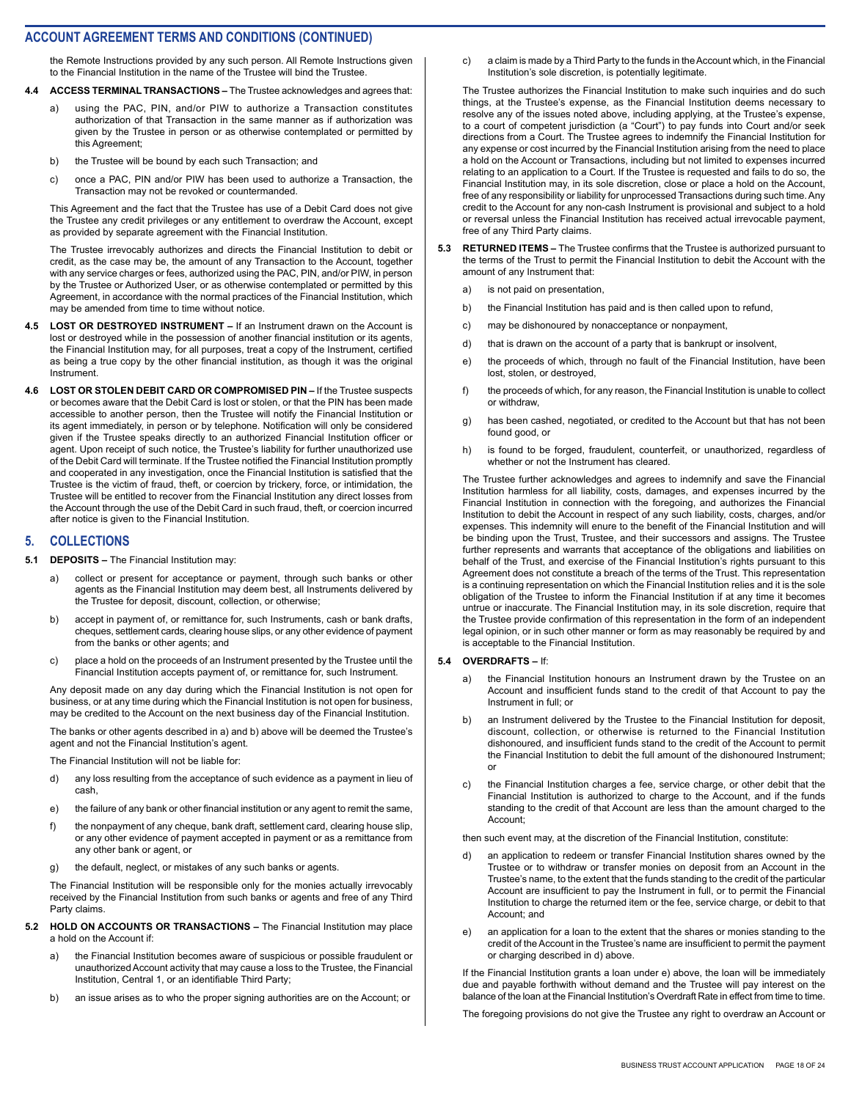the Remote Instructions provided by any such person. All Remote Instructions given to the Financial Institution in the name of the Trustee will bind the Trustee.

- **4.4 ACCESS TERMINAL TRANSACTIONS** The Trustee acknowledges and agrees that:
	- a) using the PAC, PIN, and/or PIW to authorize a Transaction constitutes authorization of that Transaction in the same manner as if authorization was given by the Trustee in person or as otherwise contemplated or permitted by this Agreement;
	- b) the Trustee will be bound by each such Transaction; and
	- c) once a PAC, PIN and/or PIW has been used to authorize a Transaction, the Transaction may not be revoked or countermanded.

This Agreement and the fact that the Trustee has use of a Debit Card does not give the Trustee any credit privileges or any entitlement to overdraw the Account, except as provided by separate agreement with the Financial Institution.

The Trustee irrevocably authorizes and directs the Financial Institution to debit or credit, as the case may be, the amount of any Transaction to the Account, together with any service charges or fees, authorized using the PAC, PIN, and/or PIW, in person by the Trustee or Authorized User, or as otherwise contemplated or permitted by this Agreement, in accordance with the normal practices of the Financial Institution, which may be amended from time to time without notice.

- **4.5 LOST OR DESTROYED INSTRUMENT** If an Instrument drawn on the Account is lost or destroyed while in the possession of another financial institution or its agents, the Financial Institution may, for all purposes, treat a copy of the Instrument, certified as being a true copy by the other financial institution, as though it was the original Instrument.
- **4.6 LOST OR STOLEN DEBIT CARD OR COMPROMISED PIN** If the Trustee suspects or becomes aware that the Debit Card is lost or stolen, or that the PIN has been made accessible to another person, then the Trustee will notify the Financial Institution or its agent immediately, in person or by telephone. Notification will only be considered given if the Trustee speaks directly to an authorized Financial Institution officer or agent. Upon receipt of such notice, the Trustee's liability for further unauthorized use of the Debit Card will terminate. If the Trustee notified the Financial Institution promptly and cooperated in any investigation, once the Financial Institution is satisfied that the Trustee is the victim of fraud, theft, or coercion by trickery, force, or intimidation, the Trustee will be entitled to recover from the Financial Institution any direct losses from the Account through the use of the Debit Card in such fraud, theft, or coercion incurred after notice is given to the Financial Institution.

#### **5. COLLECTIONS**

- **5.1 DEPOSITS** The Financial Institution may:
	- a) collect or present for acceptance or payment, through such banks or other agents as the Financial Institution may deem best, all Instruments delivered by the Trustee for deposit, discount, collection, or otherwise;
	- b) accept in payment of, or remittance for, such Instruments, cash or bank drafts, cheques, settlement cards, clearing house slips, or any other evidence of payment from the banks or other agents; and
	- c) place a hold on the proceeds of an Instrument presented by the Trustee until the Financial Institution accepts payment of, or remittance for, such Instrument.

Any deposit made on any day during which the Financial Institution is not open for business, or at any time during which the Financial Institution is not open for business, may be credited to the Account on the next business day of the Financial Institution.

The banks or other agents described in a) and b) above will be deemed the Trustee's agent and not the Financial Institution's agent.

The Financial Institution will not be liable for:

- d) any loss resulting from the acceptance of such evidence as a payment in lieu of cash,
- e) the failure of any bank or other financial institution or any agent to remit the same,
- f) the nonpayment of any cheque, bank draft, settlement card, clearing house slip, or any other evidence of payment accepted in payment or as a remittance from any other bank or agent, or
- g) the default, neglect, or mistakes of any such banks or agents.

The Financial Institution will be responsible only for the monies actually irrevocably received by the Financial Institution from such banks or agents and free of any Third Party claims.

- **5.2 HOLD ON ACCOUNTS OR TRANSACTIONS** The Financial Institution may place a hold on the Account if:
	- a) the Financial Institution becomes aware of suspicious or possible fraudulent or unauthorized Account activity that may cause a loss to the Trustee, the Financial Institution, Central 1, or an identifiable Third Party;
	- b) an issue arises as to who the proper signing authorities are on the Account; or

c) a claim is made by a Third Party to the funds in the Account which, in the Financial Institution's sole discretion, is potentially legitimate.

The Trustee authorizes the Financial Institution to make such inquiries and do such things, at the Trustee's expense, as the Financial Institution deems necessary to resolve any of the issues noted above, including applying, at the Trustee's expense, to a court of competent jurisdiction (a "Court") to pay funds into Court and/or seek directions from a Court. The Trustee agrees to indemnify the Financial Institution for any expense or cost incurred by the Financial Institution arising from the need to place a hold on the Account or Transactions, including but not limited to expenses incurred relating to an application to a Court. If the Trustee is requested and fails to do so, the Financial Institution may, in its sole discretion, close or place a hold on the Account, free of any responsibility or liability for unprocessed Transactions during such time. Any credit to the Account for any non-cash Instrument is provisional and subject to a hold or reversal unless the Financial Institution has received actual irrevocable payment, free of any Third Party claims.

- **5.3 RETURNED ITEMS** The Trustee confirms that the Trustee is authorized pursuant to the terms of the Trust to permit the Financial Institution to debit the Account with the amount of any Instrument that:
	- a) is not paid on presentation,
	- b) the Financial Institution has paid and is then called upon to refund,
	- c) may be dishonoured by nonacceptance or nonpayment,
	- d) that is drawn on the account of a party that is bankrupt or insolvent,
	- e) the proceeds of which, through no fault of the Financial Institution, have been lost, stolen, or destroyed,
	- f) the proceeds of which, for any reason, the Financial Institution is unable to collect or withdraw,
	- g) has been cashed, negotiated, or credited to the Account but that has not been found good, or
	- h) is found to be forged, fraudulent, counterfeit, or unauthorized, regardless of whether or not the Instrument has cleared.

The Trustee further acknowledges and agrees to indemnify and save the Financial Institution harmless for all liability, costs, damages, and expenses incurred by the Financial Institution in connection with the foregoing, and authorizes the Financial Institution to debit the Account in respect of any such liability, costs, charges, and/or expenses. This indemnity will enure to the benefit of the Financial Institution and will be binding upon the Trust, Trustee, and their successors and assigns. The Trustee further represents and warrants that acceptance of the obligations and liabilities on behalf of the Trust, and exercise of the Financial Institution's rights pursuant to this Agreement does not constitute a breach of the terms of the Trust. This representation is a continuing representation on which the Financial Institution relies and it is the sole obligation of the Trustee to inform the Financial Institution if at any time it becomes untrue or inaccurate. The Financial Institution may, in its sole discretion, require that the Trustee provide confirmation of this representation in the form of an independent legal opinion, or in such other manner or form as may reasonably be required by and is acceptable to the Financial Institution.

#### **5.4 OVERDRAFTS –** If:

- a) the Financial Institution honours an Instrument drawn by the Trustee on an Account and insufficient funds stand to the credit of that Account to pay the Instrument in full; or
- b) an Instrument delivered by the Trustee to the Financial Institution for deposit, discount, collection, or otherwise is returned to the Financial Institution dishonoured, and insufficient funds stand to the credit of the Account to permit the Financial Institution to debit the full amount of the dishonoured Instrument; or
- c) the Financial Institution charges a fee, service charge, or other debit that the Financial Institution is authorized to charge to the Account, and if the funds standing to the credit of that Account are less than the amount charged to the Account;

then such event may, at the discretion of the Financial Institution, constitute:

- d) an application to redeem or transfer Financial Institution shares owned by the Trustee or to withdraw or transfer monies on deposit from an Account in the Trustee's name, to the extent that the funds standing to the credit of the particular Account are insufficient to pay the Instrument in full, or to permit the Financial Institution to charge the returned item or the fee, service charge, or debit to that Account; and
- e) an application for a loan to the extent that the shares or monies standing to the credit of the Account in the Trustee's name are insufficient to permit the payment or charging described in d) above.

If the Financial Institution grants a loan under e) above, the loan will be immediately due and payable forthwith without demand and the Trustee will pay interest on the balance of the loan at the Financial Institution's Overdraft Rate in effect from time to time.

The foregoing provisions do not give the Trustee any right to overdraw an Account or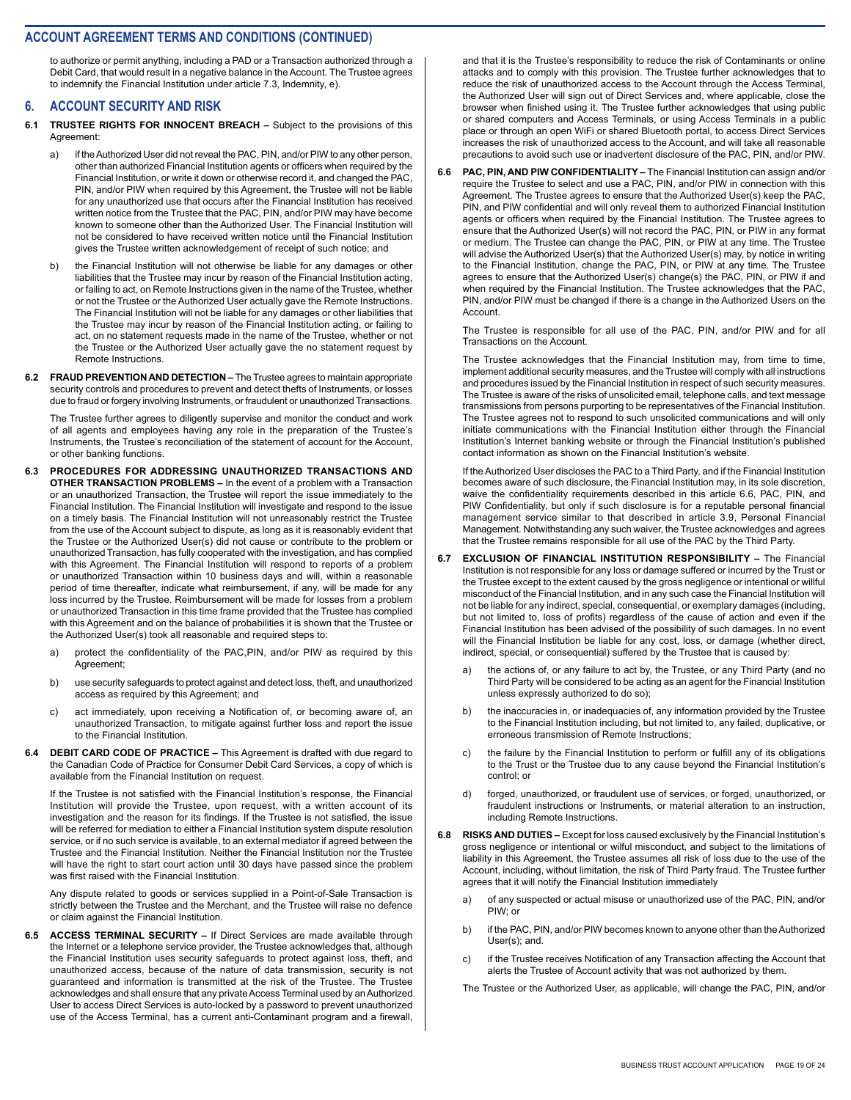to authorize or permit anything, including a PAD or a Transaction authorized through a Debit Card, that would result in a negative balance in the Account. The Trustee agrees to indemnify the Financial Institution under article 7.3, Indemnity, e).

#### **6. ACCOUNT SECURITY AND RISK**

- **6.1 TRUSTEE RIGHTS FOR INNOCENT BREACH** Subject to the provisions of this Agreement:
	- a) if the Authorized User did not reveal the PAC, PIN, and/or PIW to any other person, other than authorized Financial Institution agents or officers when required by the Financial Institution, or write it down or otherwise record it, and changed the PAC, PIN, and/or PIW when required by this Agreement, the Trustee will not be liable for any unauthorized use that occurs after the Financial Institution has received written notice from the Trustee that the PAC, PIN, and/or PIW may have become known to someone other than the Authorized User. The Financial Institution will not be considered to have received written notice until the Financial Institution gives the Trustee written acknowledgement of receipt of such notice; and
	- b) the Financial Institution will not otherwise be liable for any damages or other liabilities that the Trustee may incur by reason of the Financial Institution acting, or failing to act, on Remote Instructions given in the name of the Trustee, whether or not the Trustee or the Authorized User actually gave the Remote Instructions. The Financial Institution will not be liable for any damages or other liabilities that the Trustee may incur by reason of the Financial Institution acting, or failing to act, on no statement requests made in the name of the Trustee, whether or not the Trustee or the Authorized User actually gave the no statement request by Remote Instructions.
- **6.2 FRAUD PREVENTION AND DETECTION** The Trustee agrees to maintain appropriate security controls and procedures to prevent and detect thefts of Instruments, or losses due to fraud or forgery involving Instruments, or fraudulent or unauthorized Transactions.

The Trustee further agrees to diligently supervise and monitor the conduct and work of all agents and employees having any role in the preparation of the Trustee's Instruments, the Trustee's reconciliation of the statement of account for the Account, or other banking functions.

- **6.3 PROCEDURES FOR ADDRESSING UNAUTHORIZED TRANSACTIONS AND OTHER TRANSACTION PROBLEMS –** In the event of a problem with a Transaction or an unauthorized Transaction, the Trustee will report the issue immediately to the Financial Institution. The Financial Institution will investigate and respond to the issue on a timely basis. The Financial Institution will not unreasonably restrict the Trustee from the use of the Account subject to dispute, as long as it is reasonably evident that the Trustee or the Authorized User(s) did not cause or contribute to the problem or unauthorized Transaction, has fully cooperated with the investigation, and has complied with this Agreement. The Financial Institution will respond to reports of a problem or unauthorized Transaction within 10 business days and will, within a reasonable period of time thereafter, indicate what reimbursement, if any, will be made for any loss incurred by the Trustee. Reimbursement will be made for losses from a problem or unauthorized Transaction in this time frame provided that the Trustee has complied with this Agreement and on the balance of probabilities it is shown that the Trustee or the Authorized User(s) took all reasonable and required steps to:
	- a) protect the confidentiality of the PAC,PIN, and/or PIW as required by this Agreement;
	- b) use security safeguards to protect against and detect loss, theft, and unauthorized access as required by this Agreement; and
	- c) act immediately, upon receiving a Notification of, or becoming aware of, an unauthorized Transaction, to mitigate against further loss and report the issue to the Financial Institution.
- **6.4 DEBIT CARD CODE OF PRACTICE** This Agreement is drafted with due regard to the Canadian Code of Practice for Consumer Debit Card Services, a copy of which is available from the Financial Institution on request.

If the Trustee is not satisfied with the Financial Institution's response, the Financial Institution will provide the Trustee, upon request, with a written account of its investigation and the reason for its findings. If the Trustee is not satisfied, the issue will be referred for mediation to either a Financial Institution system dispute resolution service, or if no such service is available, to an external mediator if agreed between the Trustee and the Financial Institution. Neither the Financial Institution nor the Trustee will have the right to start court action until 30 days have passed since the problem was first raised with the Financial Institution.

Any dispute related to goods or services supplied in a Point-of-Sale Transaction is strictly between the Trustee and the Merchant, and the Trustee will raise no defence or claim against the Financial Institution.

**6.5 ACCESS TERMINAL SECURITY –** If Direct Services are made available through the Internet or a telephone service provider, the Trustee acknowledges that, although the Financial Institution uses security safeguards to protect against loss, theft, and unauthorized access, because of the nature of data transmission, security is not guaranteed and information is transmitted at the risk of the Trustee. The Trustee acknowledges and shall ensure that any private Access Terminal used by an Authorized User to access Direct Services is auto-locked by a password to prevent unauthorized use of the Access Terminal, has a current anti-Contaminant program and a firewall,

and that it is the Trustee's responsibility to reduce the risk of Contaminants or online attacks and to comply with this provision. The Trustee further acknowledges that to reduce the risk of unauthorized access to the Account through the Access Terminal, the Authorized User will sign out of Direct Services and, where applicable, close the browser when finished using it. The Trustee further acknowledges that using public or shared computers and Access Terminals, or using Access Terminals in a public place or through an open WiFi or shared Bluetooth portal, to access Direct Services increases the risk of unauthorized access to the Account, and will take all reasonable precautions to avoid such use or inadvertent disclosure of the PAC, PIN, and/or PIW.

**6.6 PAC, PIN, AND PIW CONFIDENTIALITY –** The Financial Institution can assign and/or require the Trustee to select and use a PAC, PIN, and/or PIW in connection with this Agreement. The Trustee agrees to ensure that the Authorized User(s) keep the PAC, PIN, and PIW confidential and will only reveal them to authorized Financial Institution agents or officers when required by the Financial Institution. The Trustee agrees to ensure that the Authorized User(s) will not record the PAC, PIN, or PIW in any format or medium. The Trustee can change the PAC, PIN, or PIW at any time. The Trustee will advise the Authorized User(s) that the Authorized User(s) may, by notice in writing to the Financial Institution, change the PAC, PIN, or PIW at any time. The Trustee agrees to ensure that the Authorized User(s) change(s) the PAC, PIN, or PIW if and when required by the Financial Institution. The Trustee acknowledges that the PAC, PIN, and/or PIW must be changed if there is a change in the Authorized Users on the Account.

The Trustee is responsible for all use of the PAC, PIN, and/or PIW and for all Transactions on the Account.

The Trustee acknowledges that the Financial Institution may, from time to time, implement additional security measures, and the Trustee will comply with all instructions and procedures issued by the Financial Institution in respect of such security measures. The Trustee is aware of the risks of unsolicited email, telephone calls, and text message transmissions from persons purporting to be representatives of the Financial Institution. The Trustee agrees not to respond to such unsolicited communications and will only initiate communications with the Financial Institution either through the Financial Institution's Internet banking website or through the Financial Institution's published contact information as shown on the Financial Institution's website.

If the Authorized User discloses the PAC to a Third Party, and if the Financial Institution becomes aware of such disclosure, the Financial Institution may, in its sole discretion, waive the confidentiality requirements described in this article 6.6, PAC, PIN, and PIW Confidentiality, but only if such disclosure is for a reputable personal financial management service similar to that described in article 3.9, Personal Financial Management. Notwithstanding any such waiver, the Trustee acknowledges and agrees that the Trustee remains responsible for all use of the PAC by the Third Party.

- **6.7 EXCLUSION OF FINANCIAL INSTITUTION RESPONSIBILITY** The Financial Institution is not responsible for any loss or damage suffered or incurred by the Trust or the Trustee except to the extent caused by the gross negligence or intentional or willful misconduct of the Financial Institution, and in any such case the Financial Institution will not be liable for any indirect, special, consequential, or exemplary damages (including, but not limited to, loss of profits) regardless of the cause of action and even if the Financial Institution has been advised of the possibility of such damages. In no event will the Financial Institution be liable for any cost, loss, or damage (whether direct, indirect, special, or consequential) suffered by the Trustee that is caused by:
	- a) the actions of, or any failure to act by, the Trustee, or any Third Party (and no Third Party will be considered to be acting as an agent for the Financial Institution unless expressly authorized to do so);
	- b) the inaccuracies in, or inadequacies of, any information provided by the Trustee to the Financial Institution including, but not limited to, any failed, duplicative, or erroneous transmission of Remote Instructions;
	- c) the failure by the Financial Institution to perform or fulfill any of its obligations to the Trust or the Trustee due to any cause beyond the Financial Institution's control; or
	- d) forged, unauthorized, or fraudulent use of services, or forged, unauthorized, or fraudulent instructions or Instruments, or material alteration to an instruction, including Remote Instructions.
- **6.8 RISKS AND DUTIES** Except for loss caused exclusively by the Financial Institution's gross negligence or intentional or wilful misconduct, and subject to the limitations of liability in this Agreement, the Trustee assumes all risk of loss due to the use of the Account, including, without limitation, the risk of Third Party fraud. The Trustee further agrees that it will notify the Financial Institution immediately
	- a) of any suspected or actual misuse or unauthorized use of the PAC, PIN, and/or PIW; or
	- b) if the PAC, PIN, and/or PIW becomes known to anyone other than the Authorized User(s); and.
	- c) if the Trustee receives Notification of any Transaction affecting the Account that alerts the Trustee of Account activity that was not authorized by them.

The Trustee or the Authorized User, as applicable, will change the PAC, PIN, and/or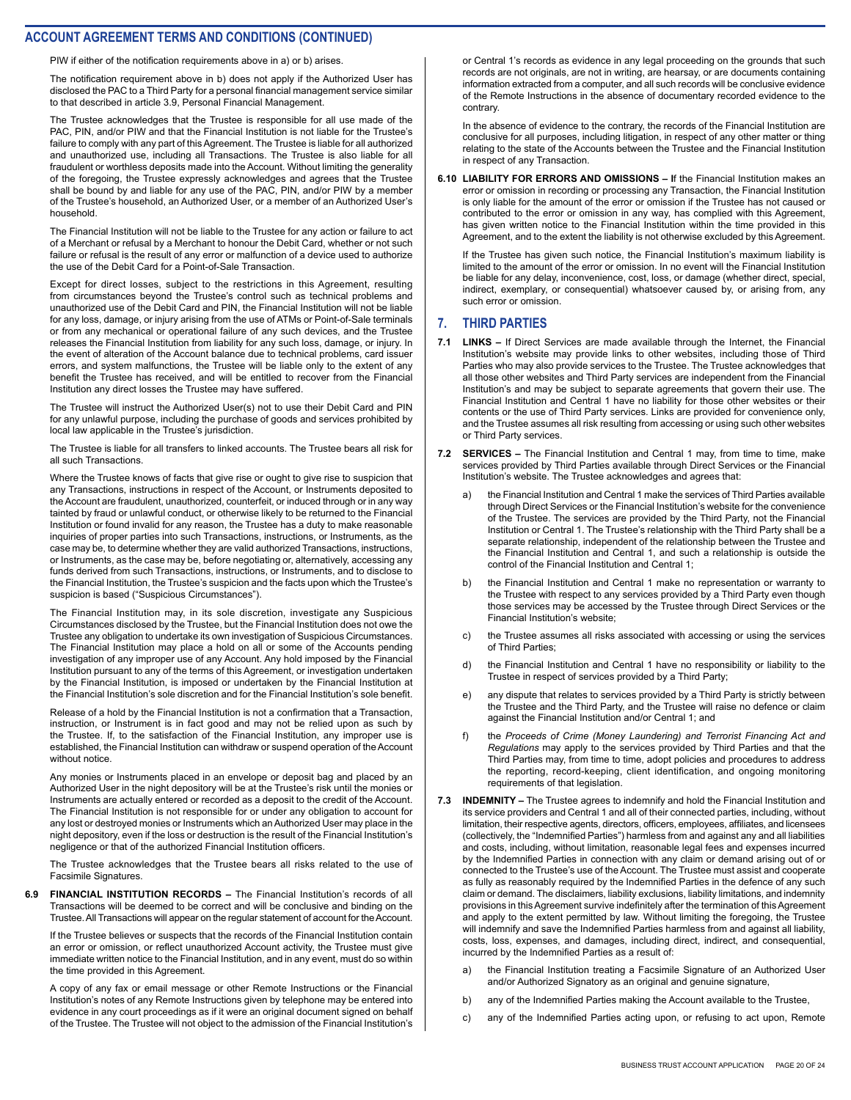PIW if either of the notification requirements above in a) or b) arises.

The notification requirement above in b) does not apply if the Authorized User has disclosed the PAC to a Third Party for a personal financial management service similar to that described in article 3.9, Personal Financial Management.

The Trustee acknowledges that the Trustee is responsible for all use made of the PAC, PIN, and/or PIW and that the Financial Institution is not liable for the Trustee's failure to comply with any part of this Agreement. The Trustee is liable for all authorized and unauthorized use, including all Transactions. The Trustee is also liable for all fraudulent or worthless deposits made into the Account. Without limiting the generality of the foregoing, the Trustee expressly acknowledges and agrees that the Trustee shall be bound by and liable for any use of the PAC, PIN, and/or PIW by a member of the Trustee's household, an Authorized User, or a member of an Authorized User's household.

The Financial Institution will not be liable to the Trustee for any action or failure to act of a Merchant or refusal by a Merchant to honour the Debit Card, whether or not such failure or refusal is the result of any error or malfunction of a device used to authorize the use of the Debit Card for a Point-of-Sale Transaction.

Except for direct losses, subject to the restrictions in this Agreement, resulting from circumstances beyond the Trustee's control such as technical problems and unauthorized use of the Debit Card and PIN, the Financial Institution will not be liable for any loss, damage, or injury arising from the use of ATMs or Point-of-Sale terminals or from any mechanical or operational failure of any such devices, and the Trustee releases the Financial Institution from liability for any such loss, damage, or injury. In the event of alteration of the Account balance due to technical problems, card issuer errors, and system malfunctions, the Trustee will be liable only to the extent of any benefit the Trustee has received, and will be entitled to recover from the Financial Institution any direct losses the Trustee may have suffered.

The Trustee will instruct the Authorized User(s) not to use their Debit Card and PIN for any unlawful purpose, including the purchase of goods and services prohibited by local law applicable in the Trustee's jurisdiction.

The Trustee is liable for all transfers to linked accounts. The Trustee bears all risk for all such Transactions.

Where the Trustee knows of facts that give rise or ought to give rise to suspicion that any Transactions, instructions in respect of the Account, or Instruments deposited to the Account are fraudulent, unauthorized, counterfeit, or induced through or in any way tainted by fraud or unlawful conduct, or otherwise likely to be returned to the Financial Institution or found invalid for any reason, the Trustee has a duty to make reasonable inquiries of proper parties into such Transactions, instructions, or Instruments, as the case may be, to determine whether they are valid authorized Transactions, instructions, or Instruments, as the case may be, before negotiating or, alternatively, accessing any funds derived from such Transactions, instructions, or Instruments, and to disclose to the Financial Institution, the Trustee's suspicion and the facts upon which the Trustee's suspicion is based ("Suspicious Circumstances").

The Financial Institution may, in its sole discretion, investigate any Suspicious Circumstances disclosed by the Trustee, but the Financial Institution does not owe the Trustee any obligation to undertake its own investigation of Suspicious Circumstances. The Financial Institution may place a hold on all or some of the Accounts pending investigation of any improper use of any Account. Any hold imposed by the Financial Institution pursuant to any of the terms of this Agreement, or investigation undertaken by the Financial Institution, is imposed or undertaken by the Financial Institution at the Financial Institution's sole discretion and for the Financial Institution's sole benefit.

Release of a hold by the Financial Institution is not a confirmation that a Transaction, instruction, or Instrument is in fact good and may not be relied upon as such by the Trustee. If, to the satisfaction of the Financial Institution, any improper use is established, the Financial Institution can withdraw or suspend operation of the Account without notice.

Any monies or Instruments placed in an envelope or deposit bag and placed by an Authorized User in the night depository will be at the Trustee's risk until the monies or Instruments are actually entered or recorded as a deposit to the credit of the Account. The Financial Institution is not responsible for or under any obligation to account for any lost or destroyed monies or Instruments which an Authorized User may place in the night depository, even if the loss or destruction is the result of the Financial Institution's negligence or that of the authorized Financial Institution officers.

The Trustee acknowledges that the Trustee bears all risks related to the use of Facsimile Signatures.

**6.9 FINANCIAL INSTITUTION RECORDS –** The Financial Institution's records of all Transactions will be deemed to be correct and will be conclusive and binding on the Trustee. All Transactions will appear on the regular statement of account for the Account.

If the Trustee believes or suspects that the records of the Financial Institution contain an error or omission, or reflect unauthorized Account activity, the Trustee must give immediate written notice to the Financial Institution, and in any event, must do so within the time provided in this Agreement.

A copy of any fax or email message or other Remote Instructions or the Financial Institution's notes of any Remote Instructions given by telephone may be entered into evidence in any court proceedings as if it were an original document signed on behalf of the Trustee. The Trustee will not object to the admission of the Financial Institution's

or Central 1's records as evidence in any legal proceeding on the grounds that such records are not originals, are not in writing, are hearsay, or are documents containing information extracted from a computer, and all such records will be conclusive evidence of the Remote Instructions in the absence of documentary recorded evidence to the contrary.

In the absence of evidence to the contrary, the records of the Financial Institution are conclusive for all purposes, including litigation, in respect of any other matter or thing relating to the state of the Accounts between the Trustee and the Financial Institution in respect of any Transaction.

**6.10 LIABILITY FOR ERRORS AND OMISSIONS – I**f the Financial Institution makes an error or omission in recording or processing any Transaction, the Financial Institution is only liable for the amount of the error or omission if the Trustee has not caused or contributed to the error or omission in any way, has complied with this Agreement, has given written notice to the Financial Institution within the time provided in this Agreement, and to the extent the liability is not otherwise excluded by this Agreement.

If the Trustee has given such notice, the Financial Institution's maximum liability is limited to the amount of the error or omission. In no event will the Financial Institution be liable for any delay, inconvenience, cost, loss, or damage (whether direct, special, indirect, exemplary, or consequential) whatsoever caused by, or arising from, any such error or omission.

#### **7. THIRD PARTIES**

- **7.1 LINKS** If Direct Services are made available through the Internet, the Financial Institution's website may provide links to other websites, including those of Third Parties who may also provide services to the Trustee. The Trustee acknowledges that all those other websites and Third Party services are independent from the Financial Institution's and may be subject to separate agreements that govern their use. The Financial Institution and Central 1 have no liability for those other websites or their contents or the use of Third Party services. Links are provided for convenience only, and the Trustee assumes all risk resulting from accessing or using such other websites or Third Party services.
- **7.2 SERVICES** The Financial Institution and Central 1 may, from time to time, make services provided by Third Parties available through Direct Services or the Financial Institution's website. The Trustee acknowledges and agrees that:
	- the Financial Institution and Central 1 make the services of Third Parties available through Direct Services or the Financial Institution's website for the convenience of the Trustee. The services are provided by the Third Party, not the Financial Institution or Central 1. The Trustee's relationship with the Third Party shall be a separate relationship, independent of the relationship between the Trustee and the Financial Institution and Central 1, and such a relationship is outside the control of the Financial Institution and Central 1;
	- b) the Financial Institution and Central 1 make no representation or warranty to the Trustee with respect to any services provided by a Third Party even though those services may be accessed by the Trustee through Direct Services or the Financial Institution's website;
	- c) the Trustee assumes all risks associated with accessing or using the services of Third Parties;
	- d) the Financial Institution and Central 1 have no responsibility or liability to the Trustee in respect of services provided by a Third Party;
	- e) any dispute that relates to services provided by a Third Party is strictly between the Trustee and the Third Party, and the Trustee will raise no defence or claim against the Financial Institution and/or Central 1; and
	- f) the *Proceeds of Crime (Money Laundering) and Terrorist Financing Act and Regulations* may apply to the services provided by Third Parties and that the Third Parties may, from time to time, adopt policies and procedures to address the reporting, record-keeping, client identification, and ongoing monitoring requirements of that legislation.
- **7.3 INDEMNITY** The Trustee agrees to indemnify and hold the Financial Institution and its service providers and Central 1 and all of their connected parties, including, without limitation, their respective agents, directors, officers, employees, affiliates, and licensees (collectively, the "Indemnified Parties") harmless from and against any and all liabilities and costs, including, without limitation, reasonable legal fees and expenses incurred by the Indemnified Parties in connection with any claim or demand arising out of or connected to the Trustee's use of the Account. The Trustee must assist and cooperate as fully as reasonably required by the Indemnified Parties in the defence of any such claim or demand. The disclaimers, liability exclusions, liability limitations, and indemnity provisions in this Agreement survive indefinitely after the termination of this Agreement and apply to the extent permitted by law. Without limiting the foregoing, the Trustee will indemnify and save the Indemnified Parties harmless from and against all liability, costs, loss, expenses, and damages, including direct, indirect, and consequential, incurred by the Indemnified Parties as a result of:
	- a) the Financial Institution treating a Facsimile Signature of an Authorized User and/or Authorized Signatory as an original and genuine signature,
	- b) any of the Indemnified Parties making the Account available to the Trustee,
	- c) any of the Indemnified Parties acting upon, or refusing to act upon, Remote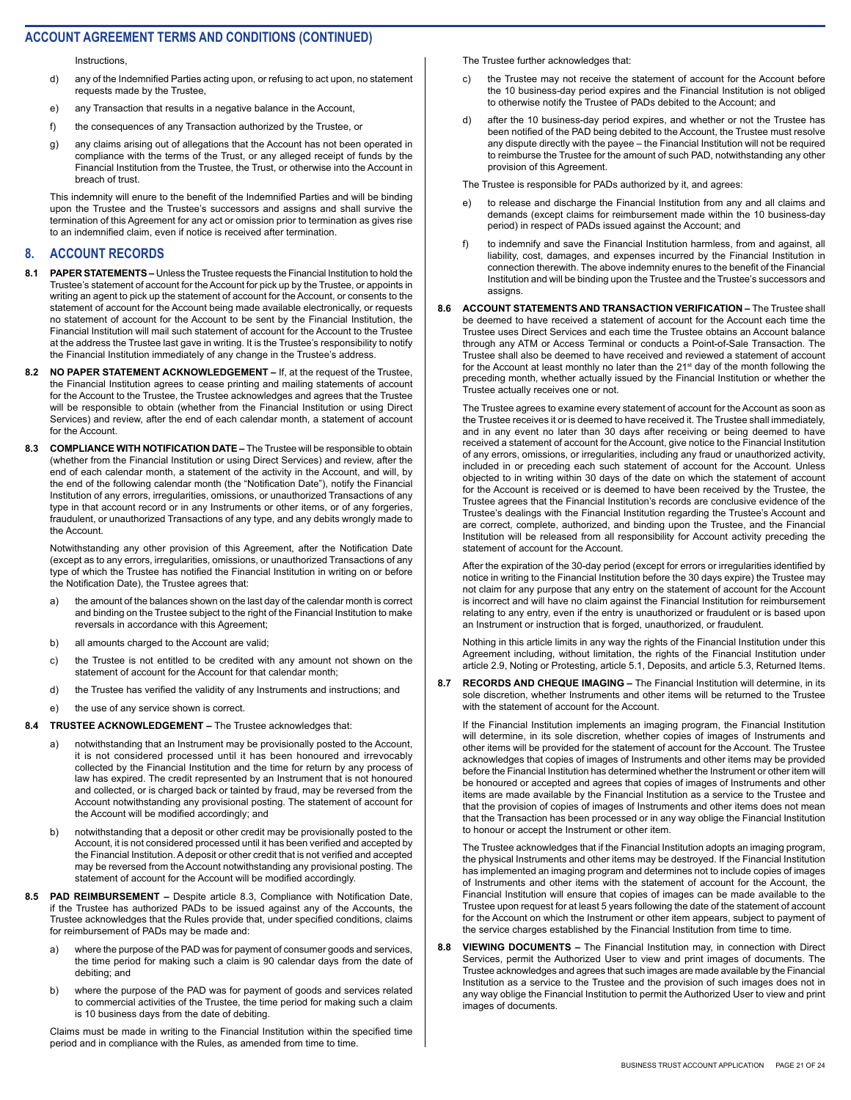Instructions,

- d) any of the Indemnified Parties acting upon, or refusing to act upon, no statement requests made by the Trustee,
- e) any Transaction that results in a negative balance in the Account,
- f) the consequences of any Transaction authorized by the Trustee, or
- g) any claims arising out of allegations that the Account has not been operated in compliance with the terms of the Trust, or any alleged receipt of funds by the Financial Institution from the Trustee, the Trust, or otherwise into the Account in breach of trust.

This indemnity will enure to the benefit of the Indemnified Parties and will be binding upon the Trustee and the Trustee's successors and assigns and shall survive the termination of this Agreement for any act or omission prior to termination as gives rise to an indemnified claim, even if notice is received after termination.

#### **8. ACCOUNT RECORDS**

- **8.1 PAPER STATEMENTS** Unless the Trustee requests the Financial Institution to hold the Trustee's statement of account for the Account for pick up by the Trustee, or appoints in writing an agent to pick up the statement of account for the Account, or consents to the statement of account for the Account being made available electronically, or requests no statement of account for the Account to be sent by the Financial Institution, the Financial Institution will mail such statement of account for the Account to the Trustee at the address the Trustee last gave in writing. It is the Trustee's responsibility to notify the Financial Institution immediately of any change in the Trustee's address.
- **8.2 NO PAPER STATEMENT ACKNOWLEDGEMENT** If, at the request of the Trustee, the Financial Institution agrees to cease printing and mailing statements of account for the Account to the Trustee, the Trustee acknowledges and agrees that the Trustee will be responsible to obtain (whether from the Financial Institution or using Direct Services) and review, after the end of each calendar month, a statement of account for the Account.
- **8.3 COMPLIANCE WITH NOTIFICATION DATE** The Trustee will be responsible to obtain (whether from the Financial Institution or using Direct Services) and review, after the end of each calendar month, a statement of the activity in the Account, and will, by the end of the following calendar month (the "Notification Date"), notify the Financial Institution of any errors, irregularities, omissions, or unauthorized Transactions of any type in that account record or in any Instruments or other items, or of any forgeries, fraudulent, or unauthorized Transactions of any type, and any debits wrongly made to the Account.

Notwithstanding any other provision of this Agreement, after the Notification Date (except as to any errors, irregularities, omissions, or unauthorized Transactions of any type of which the Trustee has notified the Financial Institution in writing on or before the Notification Date), the Trustee agrees that:

- a) the amount of the balances shown on the last day of the calendar month is correct and binding on the Trustee subject to the right of the Financial Institution to make reversals in accordance with this Agreement;
- b) all amounts charged to the Account are valid;
- c) the Trustee is not entitled to be credited with any amount not shown on the statement of account for the Account for that calendar month;
- d) the Trustee has verified the validity of any Instruments and instructions; and
- e) the use of any service shown is correct.
- **8.4 TRUSTEE ACKNOWLEDGEMENT** The Trustee acknowledges that:
	- a) notwithstanding that an Instrument may be provisionally posted to the Account, it is not considered processed until it has been honoured and irrevocably collected by the Financial Institution and the time for return by any process of law has expired. The credit represented by an Instrument that is not honoured and collected, or is charged back or tainted by fraud, may be reversed from the Account notwithstanding any provisional posting. The statement of account for the Account will be modified accordingly; and
	- b) notwithstanding that a deposit or other credit may be provisionally posted to the Account, it is not considered processed until it has been verified and accepted by the Financial Institution. A deposit or other credit that is not verified and accepted may be reversed from the Account notwithstanding any provisional posting. The statement of account for the Account will be modified accordingly.
- **8.5 PAD REIMBURSEMENT** Despite article 8.3, Compliance with Notification Date, if the Trustee has authorized PADs to be issued against any of the Accounts, the Trustee acknowledges that the Rules provide that, under specified conditions, claims for reimbursement of PADs may be made and:
	- a) where the purpose of the PAD was for payment of consumer goods and services, the time period for making such a claim is 90 calendar days from the date of debiting; and
	- b) where the purpose of the PAD was for payment of goods and services related to commercial activities of the Trustee, the time period for making such a claim is 10 business days from the date of debiting.

Claims must be made in writing to the Financial Institution within the specified time period and in compliance with the Rules, as amended from time to time.

The Trustee further acknowledges that:

- c) the Trustee may not receive the statement of account for the Account before the 10 business-day period expires and the Financial Institution is not obliged to otherwise notify the Trustee of PADs debited to the Account; and
- d) after the 10 business-day period expires, and whether or not the Trustee has been notified of the PAD being debited to the Account, the Trustee must resolve any dispute directly with the payee – the Financial Institution will not be required to reimburse the Trustee for the amount of such PAD, notwithstanding any other provision of this Agreement.

The Trustee is responsible for PADs authorized by it, and agrees:

- e) to release and discharge the Financial Institution from any and all claims and demands (except claims for reimbursement made within the 10 business-day period) in respect of PADs issued against the Account; and
- f) to indemnify and save the Financial Institution harmless, from and against, all liability, cost, damages, and expenses incurred by the Financial Institution in connection therewith. The above indemnity enures to the benefit of the Financial Institution and will be binding upon the Trustee and the Trustee's successors and assigns.
- **8.6 ACCOUNT STATEMENTS AND TRANSACTION VERIFICATION** The Trustee shall be deemed to have received a statement of account for the Account each time the Trustee uses Direct Services and each time the Trustee obtains an Account balance through any ATM or Access Terminal or conducts a Point-of-Sale Transaction. The Trustee shall also be deemed to have received and reviewed a statement of account for the Account at least monthly no later than the 21<sup>st</sup> day of the month following the preceding month, whether actually issued by the Financial Institution or whether the Trustee actually receives one or not.

The Trustee agrees to examine every statement of account for the Account as soon as the Trustee receives it or is deemed to have received it. The Trustee shall immediately, and in any event no later than 30 days after receiving or being deemed to have received a statement of account for the Account, give notice to the Financial Institution of any errors, omissions, or irregularities, including any fraud or unauthorized activity, included in or preceding each such statement of account for the Account. Unless objected to in writing within 30 days of the date on which the statement of account for the Account is received or is deemed to have been received by the Trustee, the Trustee agrees that the Financial Institution's records are conclusive evidence of the Trustee's dealings with the Financial Institution regarding the Trustee's Account and are correct, complete, authorized, and binding upon the Trustee, and the Financial Institution will be released from all responsibility for Account activity preceding the statement of account for the Account.

After the expiration of the 30-day period (except for errors or irregularities identified by notice in writing to the Financial Institution before the 30 days expire) the Trustee may not claim for any purpose that any entry on the statement of account for the Account is incorrect and will have no claim against the Financial Institution for reimbursement relating to any entry, even if the entry is unauthorized or fraudulent or is based upon an Instrument or instruction that is forged, unauthorized, or fraudulent.

Nothing in this article limits in any way the rights of the Financial Institution under this Agreement including, without limitation, the rights of the Financial Institution under article 2.9, Noting or Protesting, article 5.1, Deposits, and article 5.3, Returned Items.

**8.7 RECORDS AND CHEQUE IMAGING –** The Financial Institution will determine, in its sole discretion, whether Instruments and other items will be returned to the Trustee with the statement of account for the Account.

If the Financial Institution implements an imaging program, the Financial Institution will determine, in its sole discretion, whether copies of images of Instruments and other items will be provided for the statement of account for the Account. The Trustee acknowledges that copies of images of Instruments and other items may be provided before the Financial Institution has determined whether the Instrument or other item will be honoured or accepted and agrees that copies of images of Instruments and other items are made available by the Financial Institution as a service to the Trustee and that the provision of copies of images of Instruments and other items does not mean that the Transaction has been processed or in any way oblige the Financial Institution to honour or accept the Instrument or other item.

The Trustee acknowledges that if the Financial Institution adopts an imaging program, the physical Instruments and other items may be destroyed. If the Financial Institution has implemented an imaging program and determines not to include copies of images of Instruments and other items with the statement of account for the Account, the Financial Institution will ensure that copies of images can be made available to the Trustee upon request for at least 5 years following the date of the statement of account for the Account on which the Instrument or other item appears, subject to payment of the service charges established by the Financial Institution from time to time.

**8.8 VIEWING DOCUMENTS –** The Financial Institution may, in connection with Direct Services, permit the Authorized User to view and print images of documents. The Trustee acknowledges and agrees that such images are made available by the Financial Institution as a service to the Trustee and the provision of such images does not in any way oblige the Financial Institution to permit the Authorized User to view and print images of documents.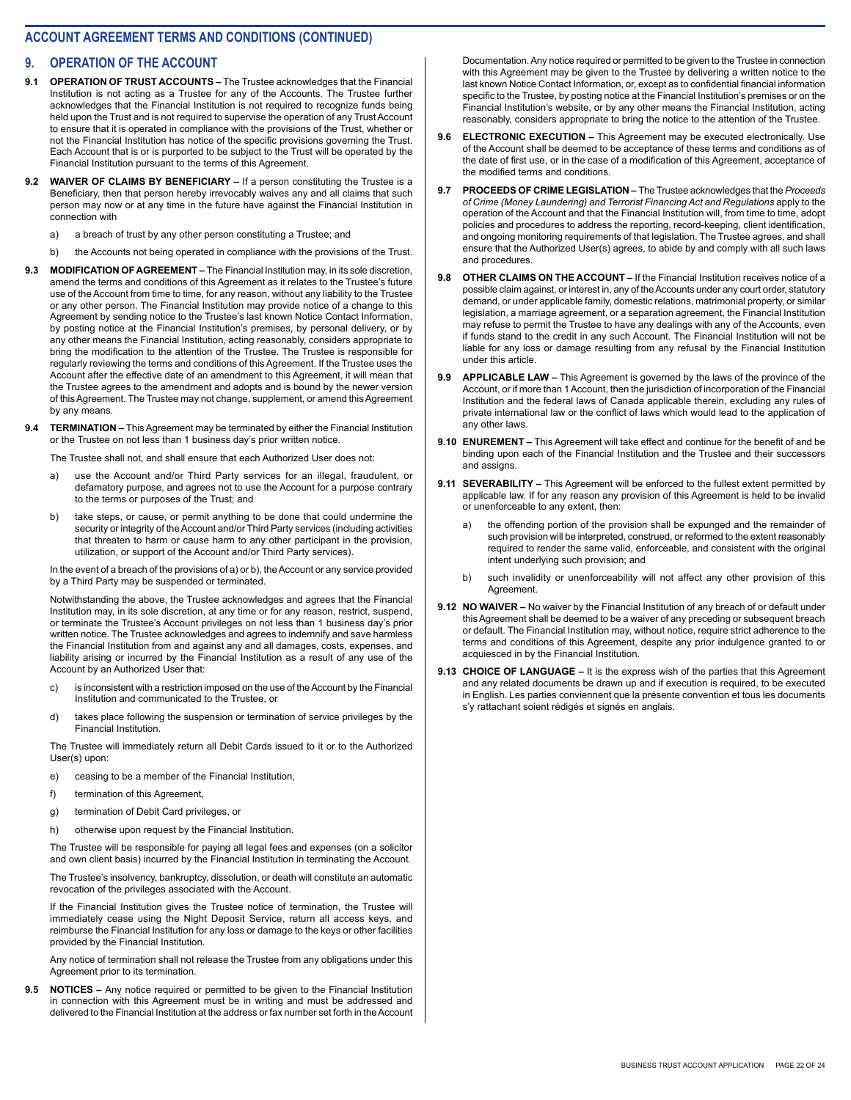#### **9. OPERATION OF THE ACCOUNT**

- **9.1 OPERATION OF TRUST ACCOUNTS** The Trustee acknowledges that the Financial Institution is not acting as a Trustee for any of the Accounts. The Trustee further acknowledges that the Financial Institution is not required to recognize funds being held upon the Trust and is not required to supervise the operation of any Trust Account to ensure that it is operated in compliance with the provisions of the Trust, whether or not the Financial Institution has notice of the specific provisions governing the Trust. Each Account that is or is purported to be subject to the Trust will be operated by the Financial Institution pursuant to the terms of this Agreement.
- **9.2 WAIVER OF CLAIMS BY BENEFICIARY** If a person constituting the Trustee is a Beneficiary, then that person hereby irrevocably waives any and all claims that such person may now or at any time in the future have against the Financial Institution in connection with
	- a) a breach of trust by any other person constituting a Trustee; and
	- b) the Accounts not being operated in compliance with the provisions of the Trust.
- **9.3 MODIFICATION OF AGREEMENT** The Financial Institution may, in its sole discretion, amend the terms and conditions of this Agreement as it relates to the Trustee's future use of the Account from time to time, for any reason, without any liability to the Trustee or any other person. The Financial Institution may provide notice of a change to this Agreement by sending notice to the Trustee's last known Notice Contact Information, by posting notice at the Financial Institution's premises, by personal delivery, or by any other means the Financial Institution, acting reasonably, considers appropriate to bring the modification to the attention of the Trustee. The Trustee is responsible for regularly reviewing the terms and conditions of this Agreement. If the Trustee uses the Account after the effective date of an amendment to this Agreement, it will mean that the Trustee agrees to the amendment and adopts and is bound by the newer version of this Agreement. The Trustee may not change, supplement, or amend this Agreement by any means.
- **9.4 TERMINATION** This Agreement may be terminated by either the Financial Institution or the Trustee on not less than 1 business day's prior written notice.

The Trustee shall not, and shall ensure that each Authorized User does not:

- a) use the Account and/or Third Party services for an illegal, fraudulent, or defamatory purpose, and agrees not to use the Account for a purpose contrary to the terms or purposes of the Trust; and
- b) take steps, or cause, or permit anything to be done that could undermine the security or integrity of the Account and/or Third Party services (including activities that threaten to harm or cause harm to any other participant in the provision, utilization, or support of the Account and/or Third Party services).

In the event of a breach of the provisions of a) or b), the Account or any service provided by a Third Party may be suspended or terminated.

Notwithstanding the above, the Trustee acknowledges and agrees that the Financial Institution may, in its sole discretion, at any time or for any reason, restrict, suspend, or terminate the Trustee's Account privileges on not less than 1 business day's prior written notice. The Trustee acknowledges and agrees to indemnify and save harmless the Financial Institution from and against any and all damages, costs, expenses, and liability arising or incurred by the Financial Institution as a result of any use of the Account by an Authorized User that:

- c) is inconsistent with a restriction imposed on the use of the Account by the Financial Institution and communicated to the Trustee, or
- d) takes place following the suspension or termination of service privileges by the Financial Institution.

The Trustee will immediately return all Debit Cards issued to it or to the Authorized User(s) upon:

- e) ceasing to be a member of the Financial Institution,
- f) termination of this Agreement,
- g) termination of Debit Card privileges, or
- h) otherwise upon request by the Financial Institution.

The Trustee will be responsible for paying all legal fees and expenses (on a solicitor and own client basis) incurred by the Financial Institution in terminating the Account.

The Trustee's insolvency, bankruptcy, dissolution, or death will constitute an automatic revocation of the privileges associated with the Account.

If the Financial Institution gives the Trustee notice of termination, the Trustee will immediately cease using the Night Deposit Service, return all access keys, and reimburse the Financial Institution for any loss or damage to the keys or other facilities provided by the Financial Institution.

Any notice of termination shall not release the Trustee from any obligations under this Agreement prior to its termination.

**9.5 NOTICES –** Any notice required or permitted to be given to the Financial Institution in connection with this Agreement must be in writing and must be addressed and delivered to the Financial Institution at the address or fax number set forth in the Account Documentation. Any notice required or permitted to be given to the Trustee in connection with this Agreement may be given to the Trustee by delivering a written notice to the last known Notice Contact Information, or, except as to confidential financial information specific to the Trustee, by posting notice at the Financial Institution's premises or on the Financial Institution's website, or by any other means the Financial Institution, acting reasonably, considers appropriate to bring the notice to the attention of the Trustee.

- **9.6 ELECTRONIC EXECUTION** This Agreement may be executed electronically. Use of the Account shall be deemed to be acceptance of these terms and conditions as of the date of first use, or in the case of a modification of this Agreement, acceptance of the modified terms and conditions.
- **9.7 PROCEEDS OF CRIME LEGISLATION** The Trustee acknowledges that the *Proceeds of Crime (Money Laundering) and Terrorist Financing Act and Regulations* apply to the operation of the Account and that the Financial Institution will, from time to time, adopt policies and procedures to address the reporting, record-keeping, client identification, and ongoing monitoring requirements of that legislation. The Trustee agrees, and shall ensure that the Authorized User(s) agrees, to abide by and comply with all such laws and procedures.
- **9.8 OTHER CLAIMS ON THE ACCOUNT** If the Financial Institution receives notice of a possible claim against, or interest in, any of the Accounts under any court order, statutory demand, or under applicable family, domestic relations, matrimonial property, or similar legislation, a marriage agreement, or a separation agreement, the Financial Institution may refuse to permit the Trustee to have any dealings with any of the Accounts, even if funds stand to the credit in any such Account. The Financial Institution will not be liable for any loss or damage resulting from any refusal by the Financial Institution under this article.
- **9.9 APPLICABLE LAW** This Agreement is governed by the laws of the province of the Account, or if more than 1 Account, then the jurisdiction of incorporation of the Financial Institution and the federal laws of Canada applicable therein, excluding any rules of private international law or the conflict of laws which would lead to the application of any other laws.
- **9.10 ENUREMENT** This Agreement will take effect and continue for the benefit of and be binding upon each of the Financial Institution and the Trustee and their successors and assigns.
- **9.11 SEVERABILITY** This Agreement will be enforced to the fullest extent permitted by applicable law. If for any reason any provision of this Agreement is held to be invalid or unenforceable to any extent, then:
	- a) the offending portion of the provision shall be expunged and the remainder of such provision will be interpreted, construed, or reformed to the extent reasonably required to render the same valid, enforceable, and consistent with the original intent underlying such provision; and
	- b) such invalidity or unenforceability will not affect any other provision of this Agreement.
- **9.12 NO WAIVER** No waiver by the Financial Institution of any breach of or default under this Agreement shall be deemed to be a waiver of any preceding or subsequent breach or default. The Financial Institution may, without notice, require strict adherence to the terms and conditions of this Agreement, despite any prior indulgence granted to or acquiesced in by the Financial Institution.
- **9.13 CHOICE OF LANGUAGE** It is the express wish of the parties that this Agreement and any related documents be drawn up and if execution is required, to be executed in English. Les parties conviennent que la présente convention et tous les documents s'y rattachant soient rédigés et signés en anglais.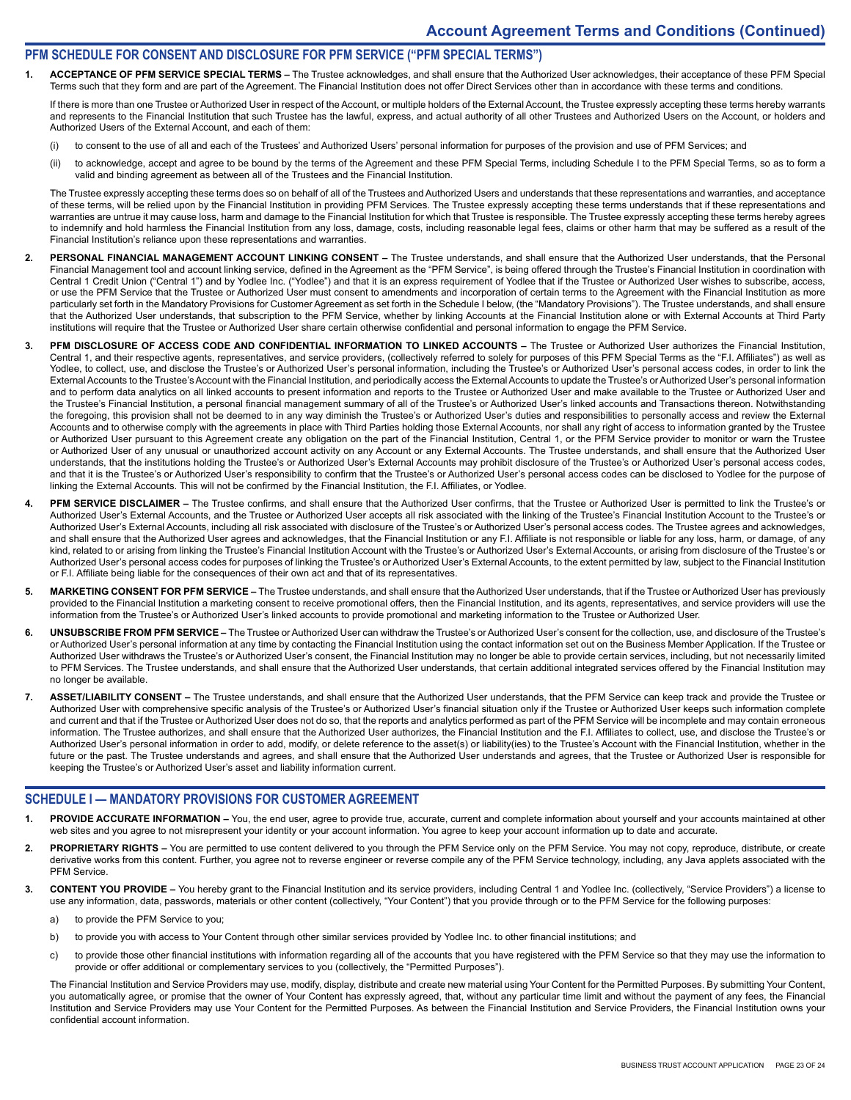#### **PFM SCHEDULE FOR CONSENT AND DISCLOSURE FOR PFM SERVICE ("PFM SPECIAL TERMS")**

1. ACCEPTANCE OF PFM SERVICE SPECIAL TERMS – The Trustee acknowledges, and shall ensure that the Authorized User acknowledges, their acceptance of these PFM Special Terms such that they form and are part of the Agreement. The Financial Institution does not offer Direct Services other than in accordance with these terms and conditions.

If there is more than one Trustee or Authorized User in respect of the Account, or multiple holders of the External Account, the Trustee expressly accepting these terms hereby warrants and represents to the Financial Institution that such Trustee has the lawful, express, and actual authority of all other Trustees and Authorized Users on the Account, or holders and Authorized Users of the External Account, and each of them:

- (i) to consent to the use of all and each of the Trustees' and Authorized Users' personal information for purposes of the provision and use of PFM Services; and
- (ii) to acknowledge, accept and agree to be bound by the terms of the Agreement and these PFM Special Terms, including Schedule I to the PFM Special Terms, so as to form a valid and binding agreement as between all of the Trustees and the Financial Institution.

The Trustee expressly accepting these terms does so on behalf of all of the Trustees and Authorized Users and understands that these representations and warranties, and acceptance of these terms, will be relied upon by the Financial Institution in providing PFM Services. The Trustee expressly accepting these terms understands that if these representations and warranties are untrue it may cause loss, harm and damage to the Financial Institution for which that Trustee is responsible. The Trustee expressly accepting these terms hereby agrees to indemnify and hold harmless the Financial Institution from any loss, damage, costs, including reasonable legal fees, claims or other harm that may be suffered as a result of the Financial Institution's reliance upon these representations and warranties.

- 2. PERSONAL FINANCIAL MANAGEMENT ACCOUNT LINKING CONSENT The Trustee understands, and shall ensure that the Authorized User understands, that the Personal Financial Management tool and account linking service, defined in the Agreement as the "PFM Service", is being offered through the Trustee's Financial Institution in coordination with Central 1 Credit Union ("Central 1") and by Yodlee Inc. ("Yodlee") and that it is an express requirement of Yodlee that if the Trustee or Authorized User wishes to subscribe, access, or use the PFM Service that the Trustee or Authorized User must consent to amendments and incorporation of certain terms to the Agreement with the Financial Institution as more particularly set forth in the Mandatory Provisions for Customer Agreement as set forth in the Schedule I below, (the "Mandatory Provisions"). The Trustee understands, and shall ensure that the Authorized User understands, that subscription to the PFM Service, whether by linking Accounts at the Financial Institution alone or with External Accounts at Third Party institutions will require that the Trustee or Authorized User share certain otherwise confidential and personal information to engage the PFM Service.
- 3. PFM DISCLOSURE OF ACCESS CODE AND CONFIDENTIAL INFORMATION TO LINKED ACCOUNTS The Trustee or Authorized User authorizes the Financial Institution, Central 1, and their respective agents, representatives, and service providers, (collectively referred to solely for purposes of this PFM Special Terms as the "F.I. Affiliates") as well as Yodlee, to collect, use, and disclose the Trustee's or Authorized User's personal information, including the Trustee's or Authorized User's personal access codes, in order to link the External Accounts to the Trustee's Account with the Financial Institution, and periodically access the External Accounts to update the Trustee's or Authorized User's personal information and to perform data analytics on all linked accounts to present information and reports to the Trustee or Authorized User and make available to the Trustee or Authorized User and the Trustee's Financial Institution, a personal financial management summary of all of the Trustee's or Authorized User's linked accounts and Transactions thereon. Notwithstanding the foregoing, this provision shall not be deemed to in any way diminish the Trustee's or Authorized User's duties and responsibilities to personally access and review the External Accounts and to otherwise comply with the agreements in place with Third Parties holding those External Accounts, nor shall any right of access to information granted by the Trustee or Authorized User pursuant to this Agreement create any obligation on the part of the Financial Institution, Central 1, or the PFM Service provider to monitor or warn the Trustee or Authorized User of any unusual or unauthorized account activity on any Account or any External Accounts. The Trustee understands, and shall ensure that the Authorized User understands, that the institutions holding the Trustee's or Authorized User's External Accounts may prohibit disclosure of the Trustee's or Authorized User's personal access codes, and that it is the Trustee's or Authorized User's responsibility to confirm that the Trustee's or Authorized User's personal access codes can be disclosed to Yodlee for the purpose of linking the External Accounts. This will not be confirmed by the Financial Institution, the F.I. Affiliates, or Yodlee.
- 4. PFM SERVICE DISCLAIMER The Trustee confirms, and shall ensure that the Authorized User confirms, that the Trustee or Authorized User is permitted to link the Trustee's or Authorized User's External Accounts, and the Trustee or Authorized User accepts all risk associated with the linking of the Trustee's Financial Institution Account to the Trustee's or Authorized User's External Accounts, including all risk associated with disclosure of the Trustee's or Authorized User's personal access codes. The Trustee agrees and acknowledges, and shall ensure that the Authorized User agrees and acknowledges, that the Financial Institution or any F.I. Affiliate is not responsible or liable for any loss, harm, or damage, of any kind, related to or arising from linking the Trustee's Financial Institution Account with the Trustee's or Authorized User's External Accounts, or arising from disclosure of the Trustee's or Authorized User's personal access codes for purposes of linking the Trustee's or Authorized User's External Accounts, to the extent permitted by law, subject to the Financial Institution or F.I. Affiliate being liable for the consequences of their own act and that of its representatives.
- **5. MARKETING CONSENT FOR PFM SERVICE** The Trustee understands, and shall ensure that the Authorized User understands, that if the Trustee or Authorized User has previously provided to the Financial Institution a marketing consent to receive promotional offers, then the Financial Institution, and its agents, representatives, and service providers will use the information from the Trustee's or Authorized User's linked accounts to provide promotional and marketing information to the Trustee or Authorized User.
- 6. UNSUBSCRIBE FROM PFM SERVICE The Trustee or Authorized User can withdraw the Trustee's or Authorized User's consent for the collection, use, and disclosure of the Trustee's or Authorized User's personal information at any time by contacting the Financial Institution using the contact information set out on the Business Member Application. If the Trustee or Authorized User withdraws the Trustee's or Authorized User's consent, the Financial Institution may no longer be able to provide certain services, including, but not necessarily limited to PFM Services. The Trustee understands, and shall ensure that the Authorized User understands, that certain additional integrated services offered by the Financial Institution may no longer be available.
- **7. ASSET/LIABILITY CONSENT** The Trustee understands, and shall ensure that the Authorized User understands, that the PFM Service can keep track and provide the Trustee or Authorized User with comprehensive specific analysis of the Trustee's or Authorized User's financial situation only if the Trustee or Authorized User keeps such information complete and current and that if the Trustee or Authorized User does not do so, that the reports and analytics performed as part of the PFM Service will be incomplete and may contain erroneous information. The Trustee authorizes, and shall ensure that the Authorized User authorizes, the Financial Institution and the F.I. Affiliates to collect, use, and disclose the Trustee's or Authorized User's personal information in order to add, modify, or delete reference to the asset(s) or liability(ies) to the Trustee's Account with the Financial Institution, whether in the future or the past. The Trustee understands and agrees, and shall ensure that the Authorized User understands and agrees, that the Trustee or Authorized User is responsible for keeping the Trustee's or Authorized User's asset and liability information current.

#### **SCHEDULE I — MANDATORY PROVISIONS FOR CUSTOMER AGREEMENT**

- PROVIDE ACCURATE INFORMATION You, the end user, agree to provide true, accurate, current and complete information about yourself and your accounts maintained at other web sites and you agree to not misrepresent your identity or your account information. You agree to keep your account information up to date and accurate.
- **2. PROPRIETARY RIGHTS** You are permitted to use content delivered to you through the PFM Service only on the PFM Service. You may not copy, reproduce, distribute, or create derivative works from this content. Further, you agree not to reverse engineer or reverse compile any of the PFM Service technology, including, any Java applets associated with the PFM Service.
- **3. CONTENT YOU PROVIDE** You hereby grant to the Financial Institution and its service providers, including Central 1 and Yodlee Inc. (collectively, "Service Providers") a license to use any information, data, passwords, materials or other content (collectively, "Your Content") that you provide through or to the PFM Service for the following purposes:
	- a) to provide the PFM Service to you;
	- b) to provide you with access to Your Content through other similar services provided by Yodlee Inc. to other financial institutions; and
	- c) to provide those other financial institutions with information regarding all of the accounts that you have registered with the PFM Service so that they may use the information to provide or offer additional or complementary services to you (collectively, the "Permitted Purposes").

The Financial Institution and Service Providers may use, modify, display, distribute and create new material using Your Content for the Permitted Purposes. By submitting Your Content, you automatically agree, or promise that the owner of Your Content has expressly agreed, that, without any particular time limit and without the payment of any fees, the Financial Institution and Service Providers may use Your Content for the Permitted Purposes. As between the Financial Institution and Service Providers, the Financial Institution owns your confidential account information.